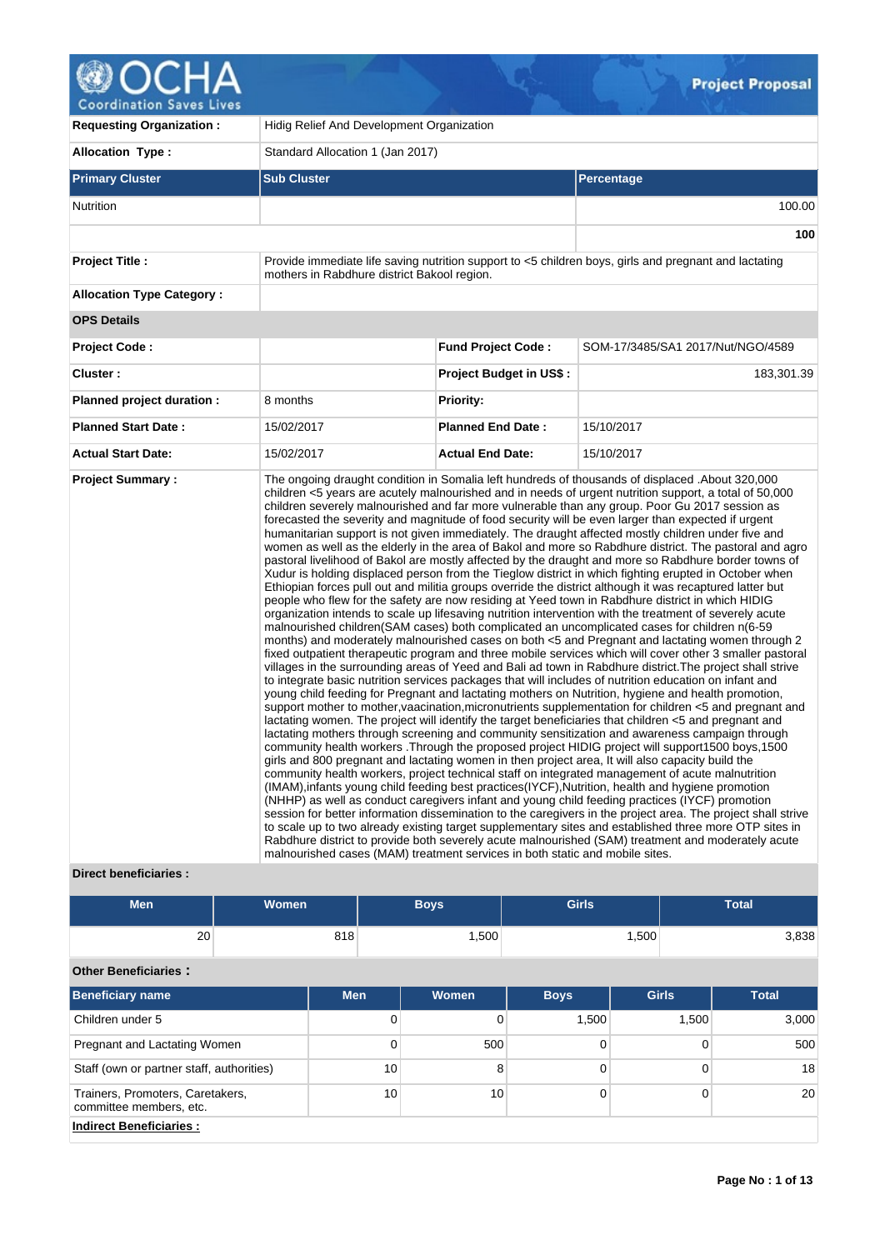# **@OCHA**

| <b>Requesting Organization:</b>  | Hidig Relief And Development Organization                                                                                                            |                                |                                                                                                                                                                                                                                                                                                                                                                                                                                                                                                                                                                                                                                                                                                                                                                                                                                                                                                                                                                                                                                                                                                                                                                                                                                                                                                                                                                                                                                                                                                                                                                                                                                                                                                                                                                                                                                                                                                                                                                                                                                                                                                                                                                                                                                                                                                                                                                                                                                                                                                                                                                                                                                                                                                                                                                                                                                                                                                                                                                                                      |  |  |  |  |
|----------------------------------|------------------------------------------------------------------------------------------------------------------------------------------------------|--------------------------------|------------------------------------------------------------------------------------------------------------------------------------------------------------------------------------------------------------------------------------------------------------------------------------------------------------------------------------------------------------------------------------------------------------------------------------------------------------------------------------------------------------------------------------------------------------------------------------------------------------------------------------------------------------------------------------------------------------------------------------------------------------------------------------------------------------------------------------------------------------------------------------------------------------------------------------------------------------------------------------------------------------------------------------------------------------------------------------------------------------------------------------------------------------------------------------------------------------------------------------------------------------------------------------------------------------------------------------------------------------------------------------------------------------------------------------------------------------------------------------------------------------------------------------------------------------------------------------------------------------------------------------------------------------------------------------------------------------------------------------------------------------------------------------------------------------------------------------------------------------------------------------------------------------------------------------------------------------------------------------------------------------------------------------------------------------------------------------------------------------------------------------------------------------------------------------------------------------------------------------------------------------------------------------------------------------------------------------------------------------------------------------------------------------------------------------------------------------------------------------------------------------------------------------------------------------------------------------------------------------------------------------------------------------------------------------------------------------------------------------------------------------------------------------------------------------------------------------------------------------------------------------------------------------------------------------------------------------------------------------------------------|--|--|--|--|
| <b>Allocation Type:</b>          | Standard Allocation 1 (Jan 2017)                                                                                                                     |                                |                                                                                                                                                                                                                                                                                                                                                                                                                                                                                                                                                                                                                                                                                                                                                                                                                                                                                                                                                                                                                                                                                                                                                                                                                                                                                                                                                                                                                                                                                                                                                                                                                                                                                                                                                                                                                                                                                                                                                                                                                                                                                                                                                                                                                                                                                                                                                                                                                                                                                                                                                                                                                                                                                                                                                                                                                                                                                                                                                                                                      |  |  |  |  |
| <b>Primary Cluster</b>           | <b>Sub Cluster</b>                                                                                                                                   |                                | Percentage                                                                                                                                                                                                                                                                                                                                                                                                                                                                                                                                                                                                                                                                                                                                                                                                                                                                                                                                                                                                                                                                                                                                                                                                                                                                                                                                                                                                                                                                                                                                                                                                                                                                                                                                                                                                                                                                                                                                                                                                                                                                                                                                                                                                                                                                                                                                                                                                                                                                                                                                                                                                                                                                                                                                                                                                                                                                                                                                                                                           |  |  |  |  |
| <b>Nutrition</b>                 |                                                                                                                                                      |                                | 100.00                                                                                                                                                                                                                                                                                                                                                                                                                                                                                                                                                                                                                                                                                                                                                                                                                                                                                                                                                                                                                                                                                                                                                                                                                                                                                                                                                                                                                                                                                                                                                                                                                                                                                                                                                                                                                                                                                                                                                                                                                                                                                                                                                                                                                                                                                                                                                                                                                                                                                                                                                                                                                                                                                                                                                                                                                                                                                                                                                                                               |  |  |  |  |
|                                  |                                                                                                                                                      |                                | 100                                                                                                                                                                                                                                                                                                                                                                                                                                                                                                                                                                                                                                                                                                                                                                                                                                                                                                                                                                                                                                                                                                                                                                                                                                                                                                                                                                                                                                                                                                                                                                                                                                                                                                                                                                                                                                                                                                                                                                                                                                                                                                                                                                                                                                                                                                                                                                                                                                                                                                                                                                                                                                                                                                                                                                                                                                                                                                                                                                                                  |  |  |  |  |
| <b>Project Title:</b>            | Provide immediate life saving nutrition support to <5 children boys, girls and pregnant and lactating<br>mothers in Rabdhure district Bakool region. |                                |                                                                                                                                                                                                                                                                                                                                                                                                                                                                                                                                                                                                                                                                                                                                                                                                                                                                                                                                                                                                                                                                                                                                                                                                                                                                                                                                                                                                                                                                                                                                                                                                                                                                                                                                                                                                                                                                                                                                                                                                                                                                                                                                                                                                                                                                                                                                                                                                                                                                                                                                                                                                                                                                                                                                                                                                                                                                                                                                                                                                      |  |  |  |  |
| <b>Allocation Type Category:</b> |                                                                                                                                                      |                                |                                                                                                                                                                                                                                                                                                                                                                                                                                                                                                                                                                                                                                                                                                                                                                                                                                                                                                                                                                                                                                                                                                                                                                                                                                                                                                                                                                                                                                                                                                                                                                                                                                                                                                                                                                                                                                                                                                                                                                                                                                                                                                                                                                                                                                                                                                                                                                                                                                                                                                                                                                                                                                                                                                                                                                                                                                                                                                                                                                                                      |  |  |  |  |
| <b>OPS Details</b>               |                                                                                                                                                      |                                |                                                                                                                                                                                                                                                                                                                                                                                                                                                                                                                                                                                                                                                                                                                                                                                                                                                                                                                                                                                                                                                                                                                                                                                                                                                                                                                                                                                                                                                                                                                                                                                                                                                                                                                                                                                                                                                                                                                                                                                                                                                                                                                                                                                                                                                                                                                                                                                                                                                                                                                                                                                                                                                                                                                                                                                                                                                                                                                                                                                                      |  |  |  |  |
| Project Code:                    |                                                                                                                                                      | <b>Fund Project Code:</b>      | SOM-17/3485/SA1 2017/Nut/NGO/4589                                                                                                                                                                                                                                                                                                                                                                                                                                                                                                                                                                                                                                                                                                                                                                                                                                                                                                                                                                                                                                                                                                                                                                                                                                                                                                                                                                                                                                                                                                                                                                                                                                                                                                                                                                                                                                                                                                                                                                                                                                                                                                                                                                                                                                                                                                                                                                                                                                                                                                                                                                                                                                                                                                                                                                                                                                                                                                                                                                    |  |  |  |  |
| Cluster:                         |                                                                                                                                                      | <b>Project Budget in US\$:</b> | 183,301.39                                                                                                                                                                                                                                                                                                                                                                                                                                                                                                                                                                                                                                                                                                                                                                                                                                                                                                                                                                                                                                                                                                                                                                                                                                                                                                                                                                                                                                                                                                                                                                                                                                                                                                                                                                                                                                                                                                                                                                                                                                                                                                                                                                                                                                                                                                                                                                                                                                                                                                                                                                                                                                                                                                                                                                                                                                                                                                                                                                                           |  |  |  |  |
| Planned project duration :       | 8 months                                                                                                                                             | <b>Priority:</b>               |                                                                                                                                                                                                                                                                                                                                                                                                                                                                                                                                                                                                                                                                                                                                                                                                                                                                                                                                                                                                                                                                                                                                                                                                                                                                                                                                                                                                                                                                                                                                                                                                                                                                                                                                                                                                                                                                                                                                                                                                                                                                                                                                                                                                                                                                                                                                                                                                                                                                                                                                                                                                                                                                                                                                                                                                                                                                                                                                                                                                      |  |  |  |  |
| <b>Planned Start Date:</b>       | 15/02/2017                                                                                                                                           | <b>Planned End Date:</b>       | 15/10/2017                                                                                                                                                                                                                                                                                                                                                                                                                                                                                                                                                                                                                                                                                                                                                                                                                                                                                                                                                                                                                                                                                                                                                                                                                                                                                                                                                                                                                                                                                                                                                                                                                                                                                                                                                                                                                                                                                                                                                                                                                                                                                                                                                                                                                                                                                                                                                                                                                                                                                                                                                                                                                                                                                                                                                                                                                                                                                                                                                                                           |  |  |  |  |
| <b>Actual Start Date:</b>        | 15/02/2017                                                                                                                                           | <b>Actual End Date:</b>        | 15/10/2017                                                                                                                                                                                                                                                                                                                                                                                                                                                                                                                                                                                                                                                                                                                                                                                                                                                                                                                                                                                                                                                                                                                                                                                                                                                                                                                                                                                                                                                                                                                                                                                                                                                                                                                                                                                                                                                                                                                                                                                                                                                                                                                                                                                                                                                                                                                                                                                                                                                                                                                                                                                                                                                                                                                                                                                                                                                                                                                                                                                           |  |  |  |  |
| <b>Project Summary:</b>          | malnourished cases (MAM) treatment services in both static and mobile sites.                                                                         |                                | The ongoing draught condition in Somalia left hundreds of thousands of displaced . About 320,000<br>children <5 years are acutely malnourished and in needs of urgent nutrition support, a total of 50,000<br>children severely malnourished and far more vulnerable than any group. Poor Gu 2017 session as<br>forecasted the severity and magnitude of food security will be even larger than expected if urgent<br>humanitarian support is not given immediately. The draught affected mostly children under five and<br>women as well as the elderly in the area of Bakol and more so Rabdhure district. The pastoral and agro<br>pastoral livelihood of Bakol are mostly affected by the draught and more so Rabdhure border towns of<br>Xudur is holding displaced person from the Tieglow district in which fighting erupted in October when<br>Ethiopian forces pull out and militia groups override the district although it was recaptured latter but<br>people who flew for the safety are now residing at Yeed town in Rabdhure district in which HIDIG<br>organization intends to scale up lifesaving nutrition intervention with the treatment of severely acute<br>malnourished children(SAM cases) both complicated an uncomplicated cases for children n(6-59<br>months) and moderately malnourished cases on both <5 and Pregnant and lactating women through 2<br>fixed outpatient therapeutic program and three mobile services which will cover other 3 smaller pastoral<br>villages in the surrounding areas of Yeed and Bali ad town in Rabdhure district. The project shall strive<br>to integrate basic nutrition services packages that will includes of nutrition education on infant and<br>young child feeding for Pregnant and lactating mothers on Nutrition, hygiene and health promotion,<br>support mother to mother, vaacination, micronutrients supplementation for children <5 and pregnant and<br>lactating women. The project will identify the target beneficiaries that children <5 and pregnant and<br>lactating mothers through screening and community sensitization and awareness campaign through<br>community health workers . Through the proposed project HIDIG project will support1500 boys, 1500<br>girls and 800 pregnant and lactating women in then project area, It will also capacity build the<br>community health workers, project technical staff on integrated management of acute malnutrition<br>(IMAM), infants young child feeding best practices (IYCF), Nutrition, health and hygiene promotion<br>(NHHP) as well as conduct caregivers infant and young child feeding practices (IYCF) promotion<br>session for better information dissemination to the caregivers in the project area. The project shall strive<br>to scale up to two already existing target supplementary sites and established three more OTP sites in<br>Rabdhure district to provide both severely acute malnourished (SAM) treatment and moderately acute |  |  |  |  |

## **Direct beneficiaries :**

| <b>Men</b>                                                  | <b>Women</b> |            |    | <b>Boys</b>  | <b>Girls</b> |  |              | <b>Total</b> |
|-------------------------------------------------------------|--------------|------------|----|--------------|--------------|--|--------------|--------------|
| 20                                                          |              | 818        |    | 1,500        | 1,500        |  |              | 3,838        |
| <b>Other Beneficiaries:</b>                                 |              |            |    |              |              |  |              |              |
| <b>Beneficiary name</b>                                     |              | <b>Men</b> |    | <b>Women</b> | <b>Boys</b>  |  | <b>Girls</b> | <b>Total</b> |
| Children under 5                                            |              |            | 0  | 0            | 1,500        |  | 1,500        | 3,000        |
| Pregnant and Lactating Women                                |              |            | 0  | 500          | $\Omega$     |  | 0            | 500          |
| Staff (own or partner staff, authorities)                   |              |            | 10 | 8            | $\Omega$     |  | $\Omega$     | 18           |
| Trainers, Promoters, Caretakers,<br>committee members, etc. |              |            | 10 | 10           | $\Omega$     |  | 0            | 20           |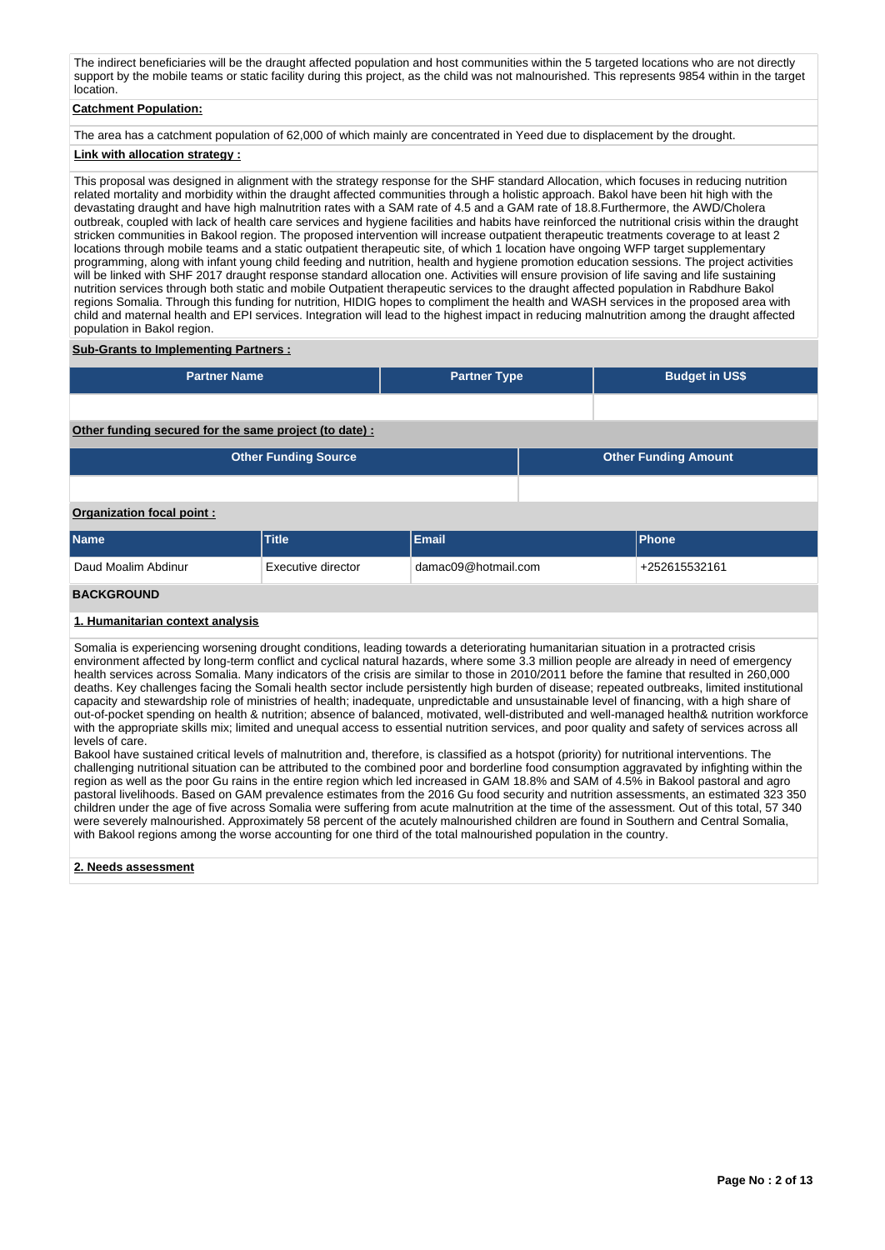The indirect beneficiaries will be the draught affected population and host communities within the 5 targeted locations who are not directly support by the mobile teams or static facility during this project, as the child was not malnourished. This represents 9854 within in the target location.

## **Catchment Population:**

The area has a catchment population of 62,000 of which mainly are concentrated in Yeed due to displacement by the drought.

## **Link with allocation strategy :**

This proposal was designed in alignment with the strategy response for the SHF standard Allocation, which focuses in reducing nutrition related mortality and morbidity within the draught affected communities through a holistic approach. Bakol have been hit high with the devastating draught and have high malnutrition rates with a SAM rate of 4.5 and a GAM rate of 18.8.Furthermore, the AWD/Cholera outbreak, coupled with lack of health care services and hygiene facilities and habits have reinforced the nutritional crisis within the draught stricken communities in Bakool region. The proposed intervention will increase outpatient therapeutic treatments coverage to at least 2 locations through mobile teams and a static outpatient therapeutic site, of which 1 location have ongoing WFP target supplementary programming, along with infant young child feeding and nutrition, health and hygiene promotion education sessions. The project activities will be linked with SHF 2017 draught response standard allocation one. Activities will ensure provision of life saving and life sustaining nutrition services through both static and mobile Outpatient therapeutic services to the draught affected population in Rabdhure Bakol regions Somalia. Through this funding for nutrition, HIDIG hopes to compliment the health and WASH services in the proposed area with child and maternal health and EPI services. Integration will lead to the highest impact in reducing malnutrition among the draught affected population in Bakol region.

## **Sub-Grants to Implementing Partners :**

| <b>Partner Name</b>                                    |                             | <b>Partner Type</b> |                             | <b>Budget in US\$</b> |  |  |  |  |
|--------------------------------------------------------|-----------------------------|---------------------|-----------------------------|-----------------------|--|--|--|--|
|                                                        |                             |                     |                             |                       |  |  |  |  |
| Other funding secured for the same project (to date) : |                             |                     |                             |                       |  |  |  |  |
|                                                        | <b>Other Funding Source</b> |                     | <b>Other Funding Amount</b> |                       |  |  |  |  |
|                                                        |                             |                     |                             |                       |  |  |  |  |
| Organization focal point:                              |                             |                     |                             |                       |  |  |  |  |
| <b>Name</b>                                            | <b>Title</b>                | Email               |                             | Phone                 |  |  |  |  |
| Daud Moalim Abdinur                                    | Executive director          | damac09@hotmail.com |                             | +252615532161         |  |  |  |  |
|                                                        |                             |                     |                             |                       |  |  |  |  |

#### **BACKGROUND**

#### **1. Humanitarian context analysis**

Somalia is experiencing worsening drought conditions, leading towards a deteriorating humanitarian situation in a protracted crisis environment affected by long-term conflict and cyclical natural hazards, where some 3.3 million people are already in need of emergency health services across Somalia. Many indicators of the crisis are similar to those in 2010/2011 before the famine that resulted in 260,000 deaths. Key challenges facing the Somali health sector include persistently high burden of disease; repeated outbreaks, limited institutional capacity and stewardship role of ministries of health; inadequate, unpredictable and unsustainable level of financing, with a high share of out-of-pocket spending on health & nutrition; absence of balanced, motivated, well-distributed and well-managed health& nutrition workforce with the appropriate skills mix; limited and unequal access to essential nutrition services, and poor quality and safety of services across all levels of care.

Bakool have sustained critical levels of malnutrition and, therefore, is classified as a hotspot (priority) for nutritional interventions. The challenging nutritional situation can be attributed to the combined poor and borderline food consumption aggravated by infighting within the region as well as the poor Gu rains in the entire region which led increased in GAM 18.8% and SAM of 4.5% in Bakool pastoral and agro pastoral livelihoods. Based on GAM prevalence estimates from the 2016 Gu food security and nutrition assessments, an estimated 323 350 children under the age of five across Somalia were suffering from acute malnutrition at the time of the assessment. Out of this total, 57 340 were severely malnourished. Approximately 58 percent of the acutely malnourished children are found in Southern and Central Somalia, with Bakool regions among the worse accounting for one third of the total malnourished population in the country.

## **2. Needs assessment**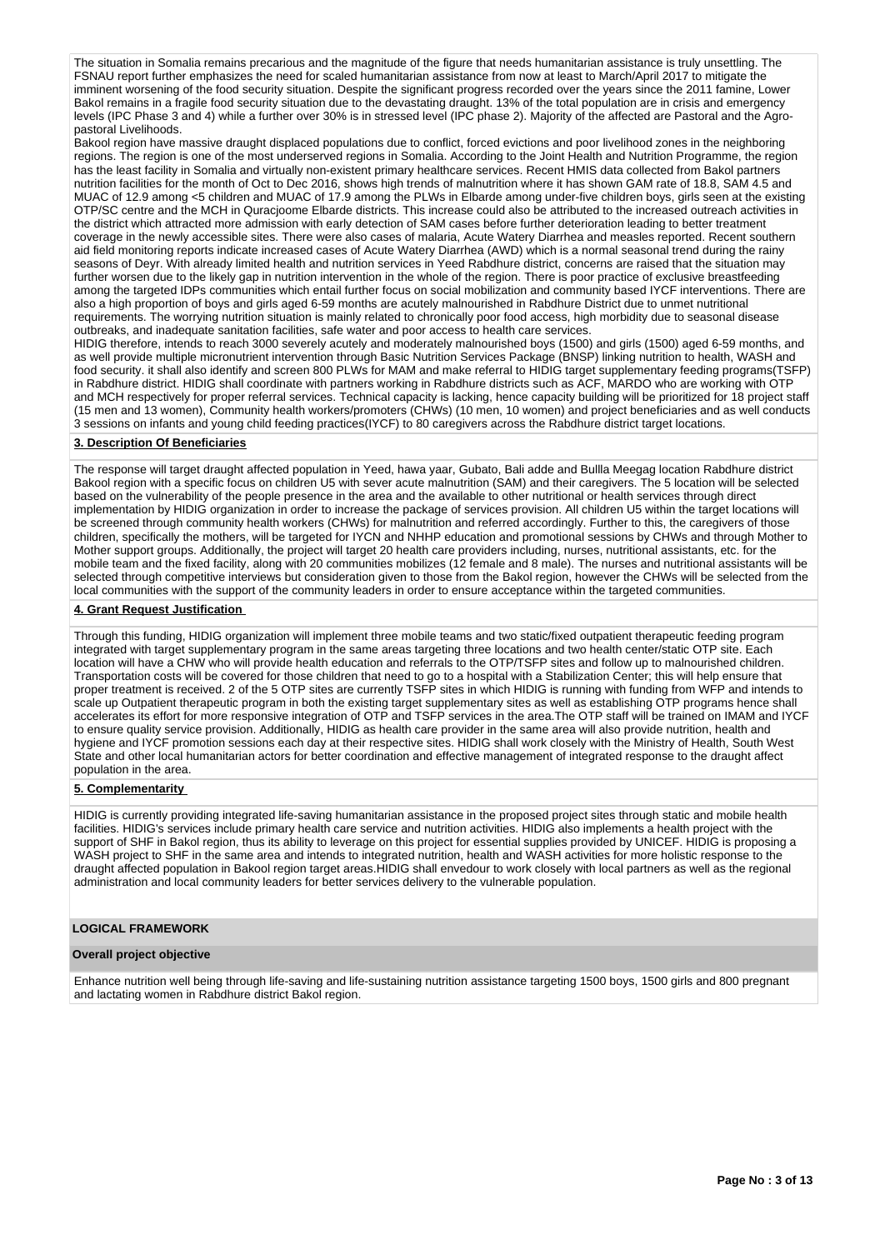The situation in Somalia remains precarious and the magnitude of the figure that needs humanitarian assistance is truly unsettling. The FSNAU report further emphasizes the need for scaled humanitarian assistance from now at least to March/April 2017 to mitigate the imminent worsening of the food security situation. Despite the significant progress recorded over the years since the 2011 famine, Lower Bakol remains in a fragile food security situation due to the devastating draught. 13% of the total population are in crisis and emergency levels (IPC Phase 3 and 4) while a further over 30% is in stressed level (IPC phase 2). Majority of the affected are Pastoral and the Agropastoral Livelihoods.

Bakool region have massive draught displaced populations due to conflict, forced evictions and poor livelihood zones in the neighboring regions. The region is one of the most underserved regions in Somalia. According to the Joint Health and Nutrition Programme, the region has the least facility in Somalia and virtually non-existent primary healthcare services. Recent HMIS data collected from Bakol partners nutrition facilities for the month of Oct to Dec 2016, shows high trends of malnutrition where it has shown GAM rate of 18.8, SAM 4.5 and MUAC of 12.9 among <5 children and MUAC of 17.9 among the PLWs in Elbarde among under-five children boys, girls seen at the existing OTP/SC centre and the MCH in Quracjoome Elbarde districts. This increase could also be attributed to the increased outreach activities in the district which attracted more admission with early detection of SAM cases before further deterioration leading to better treatment coverage in the newly accessible sites. There were also cases of malaria, Acute Watery Diarrhea and measles reported. Recent southern aid field monitoring reports indicate increased cases of Acute Watery Diarrhea (AWD) which is a normal seasonal trend during the rainy seasons of Deyr. With already limited health and nutrition services in Yeed Rabdhure district, concerns are raised that the situation may further worsen due to the likely gap in nutrition intervention in the whole of the region. There is poor practice of exclusive breastfeeding among the targeted IDPs communities which entail further focus on social mobilization and community based IYCF interventions. There are also a high proportion of boys and girls aged 6-59 months are acutely malnourished in Rabdhure District due to unmet nutritional requirements. The worrying nutrition situation is mainly related to chronically poor food access, high morbidity due to seasonal disease outbreaks, and inadequate sanitation facilities, safe water and poor access to health care services.

HIDIG therefore, intends to reach 3000 severely acutely and moderately malnourished boys (1500) and girls (1500) aged 6-59 months, and as well provide multiple micronutrient intervention through Basic Nutrition Services Package (BNSP) linking nutrition to health, WASH and food security. it shall also identify and screen 800 PLWs for MAM and make referral to HIDIG target supplementary feeding programs(TSFP) in Rabdhure district. HIDIG shall coordinate with partners working in Rabdhure districts such as ACF, MARDO who are working with OTP and MCH respectively for proper referral services. Technical capacity is lacking, hence capacity building will be prioritized for 18 project staff (15 men and 13 women), Community health workers/promoters (CHWs) (10 men, 10 women) and project beneficiaries and as well conducts 3 sessions on infants and young child feeding practices(IYCF) to 80 caregivers across the Rabdhure district target locations.

## **3. Description Of Beneficiaries**

The response will target draught affected population in Yeed, hawa yaar, Gubato, Bali adde and Bullla Meegag location Rabdhure district Bakool region with a specific focus on children U5 with sever acute malnutrition (SAM) and their caregivers. The 5 location will be selected based on the vulnerability of the people presence in the area and the available to other nutritional or health services through direct implementation by HIDIG organization in order to increase the package of services provision. All children U5 within the target locations will be screened through community health workers (CHWs) for malnutrition and referred accordingly. Further to this, the caregivers of those children, specifically the mothers, will be targeted for IYCN and NHHP education and promotional sessions by CHWs and through Mother to Mother support groups. Additionally, the project will target 20 health care providers including, nurses, nutritional assistants, etc. for the mobile team and the fixed facility, along with 20 communities mobilizes (12 female and 8 male). The nurses and nutritional assistants will be selected through competitive interviews but consideration given to those from the Bakol region, however the CHWs will be selected from the local communities with the support of the community leaders in order to ensure acceptance within the targeted communities.

## **4. Grant Request Justification**

Through this funding, HIDIG organization will implement three mobile teams and two static/fixed outpatient therapeutic feeding program integrated with target supplementary program in the same areas targeting three locations and two health center/static OTP site. Each location will have a CHW who will provide health education and referrals to the OTP/TSFP sites and follow up to malnourished children. Transportation costs will be covered for those children that need to go to a hospital with a Stabilization Center; this will help ensure that proper treatment is received. 2 of the 5 OTP sites are currently TSFP sites in which HIDIG is running with funding from WFP and intends to scale up Outpatient therapeutic program in both the existing target supplementary sites as well as establishing OTP programs hence shall accelerates its effort for more responsive integration of OTP and TSFP services in the area.The OTP staff will be trained on IMAM and IYCF to ensure quality service provision. Additionally, HIDIG as health care provider in the same area will also provide nutrition, health and hygiene and IYCF promotion sessions each day at their respective sites. HIDIG shall work closely with the Ministry of Health, South West State and other local humanitarian actors for better coordination and effective management of integrated response to the draught affect population in the area.

### **5. Complementarity**

HIDIG is currently providing integrated life-saving humanitarian assistance in the proposed project sites through static and mobile health facilities. HIDIG's services include primary health care service and nutrition activities. HIDIG also implements a health project with the support of SHF in Bakol region, thus its ability to leverage on this project for essential supplies provided by UNICEF. HIDIG is proposing a WASH project to SHF in the same area and intends to integrated nutrition, health and WASH activities for more holistic response to the draught affected population in Bakool region target areas.HIDIG shall envedour to work closely with local partners as well as the regional administration and local community leaders for better services delivery to the vulnerable population.

### **LOGICAL FRAMEWORK**

### **Overall project objective**

Enhance nutrition well being through life-saving and life-sustaining nutrition assistance targeting 1500 boys, 1500 girls and 800 pregnant and lactating women in Rabdhure district Bakol region.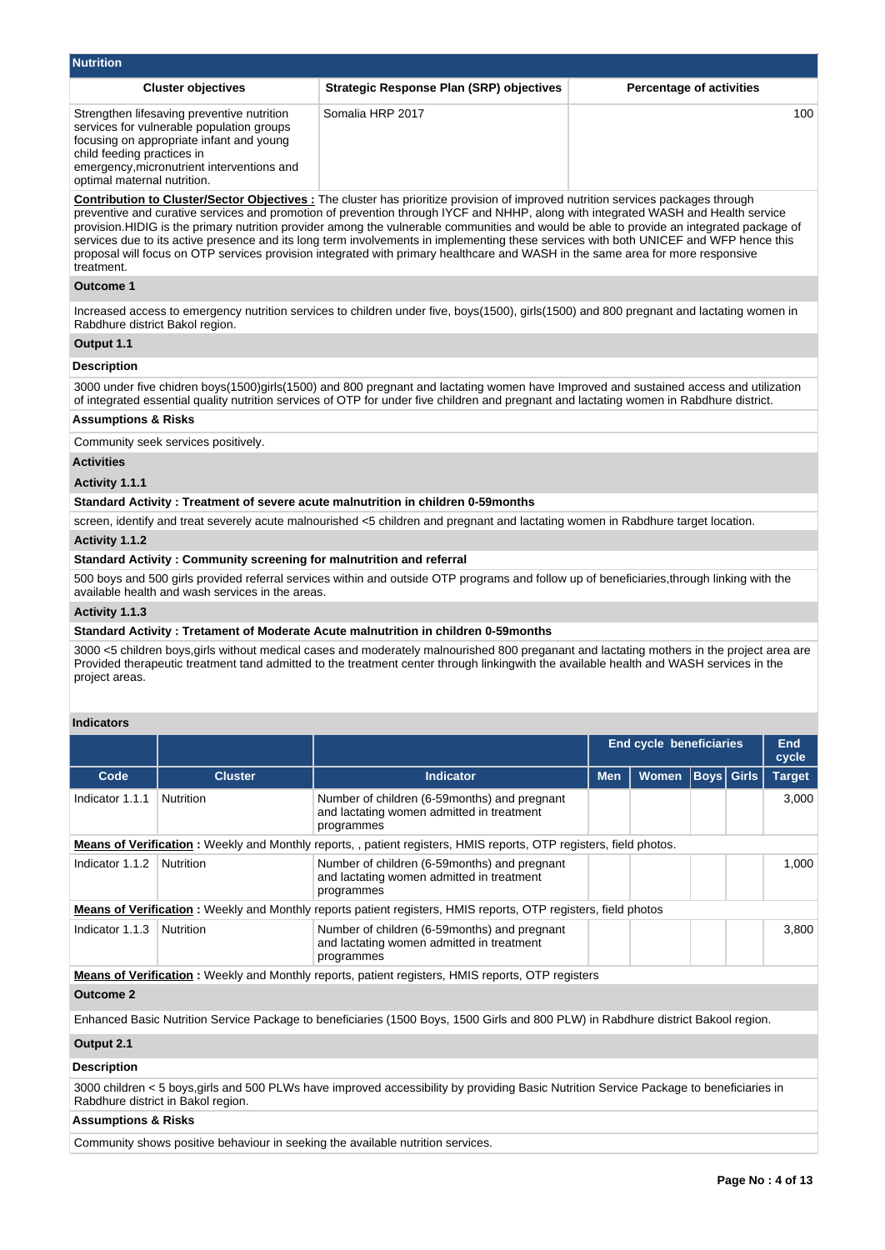| <b>Nutrition</b>                                                                                                                                                                                                                               |                                                 |                                 |  |  |  |  |  |  |
|------------------------------------------------------------------------------------------------------------------------------------------------------------------------------------------------------------------------------------------------|-------------------------------------------------|---------------------------------|--|--|--|--|--|--|
| <b>Cluster objectives</b>                                                                                                                                                                                                                      | <b>Strategic Response Plan (SRP) objectives</b> | <b>Percentage of activities</b> |  |  |  |  |  |  |
| Strengthen lifesaving preventive nutrition<br>services for vulnerable population groups<br>focusing on appropriate infant and young<br>child feeding practices in<br>emergency, micronutrient interventions and<br>optimal maternal nutrition. | Somalia HRP 2017                                | 100                             |  |  |  |  |  |  |

**Contribution to Cluster/Sector Objectives :** The cluster has prioritize provision of improved nutrition services packages through preventive and curative services and promotion of prevention through IYCF and NHHP, along with integrated WASH and Health service provision.HIDIG is the primary nutrition provider among the vulnerable communities and would be able to provide an integrated package of services due to its active presence and its long term involvements in implementing these services with both UNICEF and WFP hence this proposal will focus on OTP services provision integrated with primary healthcare and WASH in the same area for more responsive treatment.

## **Outcome 1**

Increased access to emergency nutrition services to children under five, boys(1500), girls(1500) and 800 pregnant and lactating women in Rabdhure district Bakol region.

## **Output 1.1**

## **Description**

3000 under five chidren boys(1500)girls(1500) and 800 pregnant and lactating women have Improved and sustained access and utilization of integrated essential quality nutrition services of OTP for under five children and pregnant and lactating women in Rabdhure district.

# **Assumptions & Risks**

Community seek services positively.

## **Activities**

#### **Activity 1.1.1**

#### **Standard Activity : Treatment of severe acute malnutrition in children 0-59months**

screen, identify and treat severely acute malnourished <5 children and pregnant and lactating women in Rabdhure target location.

#### **Activity 1.1.2**

#### **Standard Activity : Community screening for malnutrition and referral**

500 boys and 500 girls provided referral services within and outside OTP programs and follow up of beneficiaries,through linking with the available health and wash services in the areas.

#### **Activity 1.1.3**

#### **Standard Activity : Tretament of Moderate Acute malnutrition in children 0-59months**

3000 <5 children boys,girls without medical cases and moderately malnourished 800 preganant and lactating mothers in the project area are Provided therapeutic treatment tand admitted to the treatment center through linkingwith the available health and WASH services in the project areas.

## **Indicators**

|                  |                |                                                                                                                                   |            | <b>End cycle beneficiaries</b> |               |       | End<br>cycle |  |
|------------------|----------------|-----------------------------------------------------------------------------------------------------------------------------------|------------|--------------------------------|---------------|-------|--------------|--|
| Code             | <b>Cluster</b> | Indicator                                                                                                                         | <b>Men</b> | <b>Boys Girls</b>              | <b>Target</b> |       |              |  |
| Indicator 1.1.1  | Nutrition      | Number of children (6-59 months) and pregnant<br>and lactating women admitted in treatment<br>programmes                          |            |                                |               |       | 3,000        |  |
|                  |                | Means of Verification: Weekly and Monthly reports,, patient registers, HMIS reports, OTP registers, field photos.                 |            |                                |               |       |              |  |
| Indicator 1.1.2  | Nutrition      | Number of children (6-59 months) and pregnant<br>and lactating women admitted in treatment<br>programmes                          |            |                                |               | 1,000 |              |  |
|                  |                | <b>Means of Verification</b> : Weekly and Monthly reports patient registers, HMIS reports, OTP registers, field photos            |            |                                |               |       |              |  |
| Indicator 1.1.3  | Nutrition      | Number of children (6-59 months) and pregnant<br>and lactating women admitted in treatment<br>programmes                          |            |                                |               |       | 3,800        |  |
|                  |                | <b>Means of Verification</b> : Weekly and Monthly reports, patient registers, HMIS reports, OTP registers                         |            |                                |               |       |              |  |
| <b>Outcome 2</b> |                |                                                                                                                                   |            |                                |               |       |              |  |
|                  |                | Enhanced Basic Nutrition Service Package to beneficiaries (1500 Boys, 1500 Girls and 800 PLW) in Rabdhure district Bakool region. |            |                                |               |       |              |  |
| Output 2.1       |                |                                                                                                                                   |            |                                |               |       |              |  |

#### **Description**

3000 children < 5 boys,girls and 500 PLWs have improved accessibility by providing Basic Nutrition Service Package to beneficiaries in Rabdhure district in Bakol region.

## **Assumptions & Risks**

Community shows positive behaviour in seeking the available nutrition services.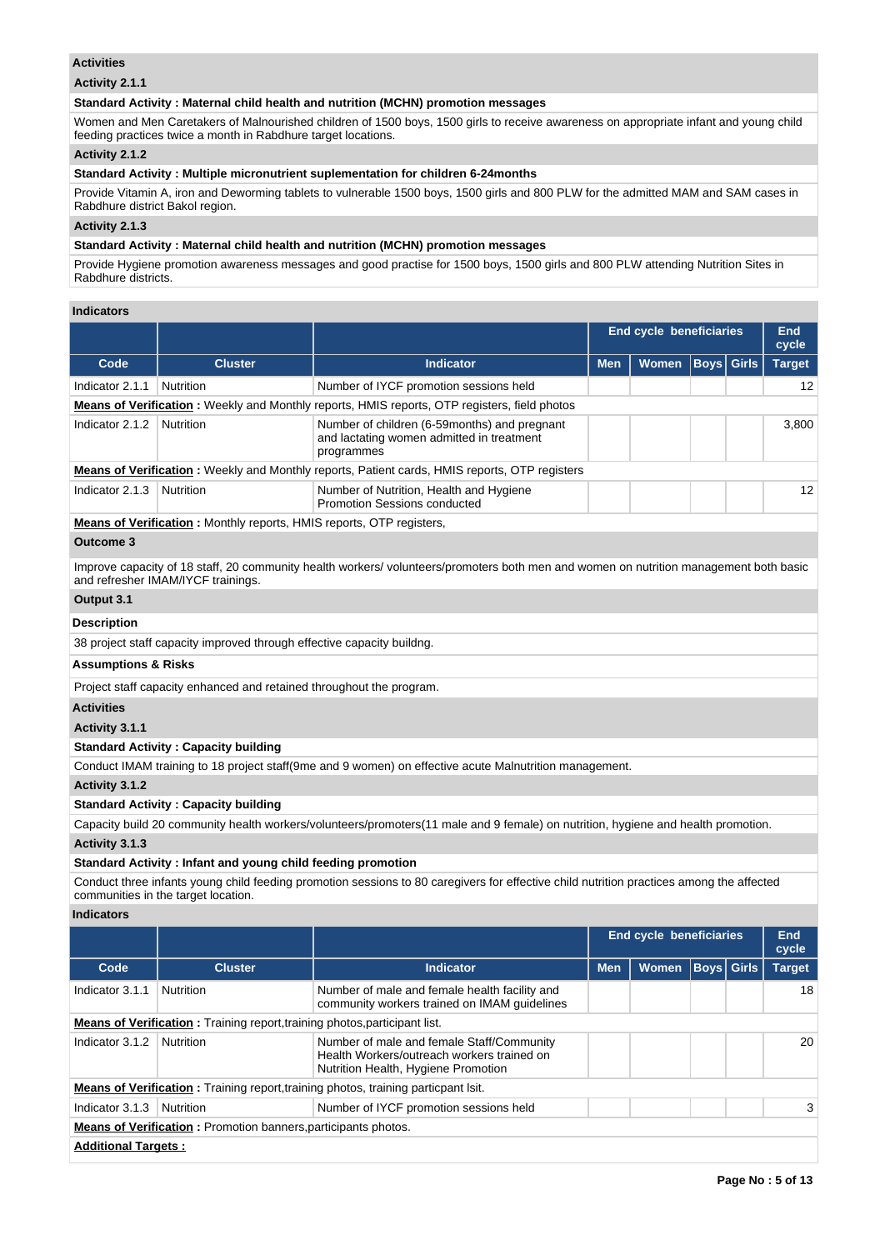## **Activities**

## **Activity 2.1.1**

## **Standard Activity : Maternal child health and nutrition (MCHN) promotion messages**

Women and Men Caretakers of Malnourished children of 1500 boys, 1500 girls to receive awareness on appropriate infant and young child feeding practices twice a month in Rabdhure target locations.

## **Activity 2.1.2**

## **Standard Activity : Multiple micronutrient suplementation for children 6-24months**

Provide Vitamin A, iron and Deworming tablets to vulnerable 1500 boys, 1500 girls and 800 PLW for the admitted MAM and SAM cases in Rabdhure district Bakol region.

# **Activity 2.1.3**

## **Standard Activity : Maternal child health and nutrition (MCHN) promotion messages**

Provide Hygiene promotion awareness messages and good practise for 1500 boys, 1500 girls and 800 PLW attending Nutrition Sites in Rabdhure districts.

## **Indicators**

|                                |                                                                        |                                                                                                                                      |            | <b>End cycle beneficiaries</b> |      |              | End<br>cycle  |
|--------------------------------|------------------------------------------------------------------------|--------------------------------------------------------------------------------------------------------------------------------------|------------|--------------------------------|------|--------------|---------------|
| Code                           | <b>Cluster</b>                                                         | <b>Indicator</b>                                                                                                                     | <b>Men</b> | <b>Women</b>                   | Boys | <b>Girls</b> | <b>Target</b> |
| Indicator 2.1.1                | Nutrition                                                              | Number of IYCF promotion sessions held                                                                                               |            |                                |      |              | 12            |
|                                |                                                                        | <b>Means of Verification:</b> Weekly and Monthly reports, HMIS reports, OTP registers, field photos                                  |            |                                |      |              |               |
| Indicator 2.1.2                | <b>Nutrition</b>                                                       | Number of children (6-59 months) and pregnant<br>and lactating women admitted in treatment<br>programmes                             |            |                                |      |              | 3,800         |
|                                |                                                                        | <b>Means of Verification:</b> Weekly and Monthly reports, Patient cards, HMIS reports, OTP registers                                 |            |                                |      |              |               |
| Indicator 2.1.3                | <b>Nutrition</b>                                                       | Number of Nutrition, Health and Hygiene<br>Promotion Sessions conducted                                                              |            |                                |      |              | 12            |
|                                | Means of Verification: Monthly reports, HMIS reports, OTP registers,   |                                                                                                                                      |            |                                |      |              |               |
| <b>Outcome 3</b>               |                                                                        |                                                                                                                                      |            |                                |      |              |               |
|                                | and refresher IMAM/IYCF trainings.                                     | Improve capacity of 18 staff, 20 community health workers/volunteers/promoters both men and women on nutrition management both basic |            |                                |      |              |               |
| Output 3.1                     |                                                                        |                                                                                                                                      |            |                                |      |              |               |
| <b>Description</b>             |                                                                        |                                                                                                                                      |            |                                |      |              |               |
|                                | 38 project staff capacity improved through effective capacity buildng. |                                                                                                                                      |            |                                |      |              |               |
| <b>Assumptions &amp; Risks</b> |                                                                        |                                                                                                                                      |            |                                |      |              |               |
|                                | Project staff capacity enhanced and retained throughout the program.   |                                                                                                                                      |            |                                |      |              |               |
| <b>Activities</b>              |                                                                        |                                                                                                                                      |            |                                |      |              |               |
| Activity 3.1.1                 |                                                                        |                                                                                                                                      |            |                                |      |              |               |
|                                | <b>Standard Activity: Capacity building</b>                            |                                                                                                                                      |            |                                |      |              |               |
|                                |                                                                        | Conduct IMAM training to 18 project staff (9me and 9 women) on effective acute Malnutrition management.                              |            |                                |      |              |               |
| Activity 3.1.2                 |                                                                        |                                                                                                                                      |            |                                |      |              |               |
|                                | <b>Standard Activity: Capacity building</b>                            |                                                                                                                                      |            |                                |      |              |               |
|                                |                                                                        | Capacity build 20 community health workers/volunteers/promoters(11 male and 9 female) on nutrition, hygiene and health promotion.    |            |                                |      |              |               |

# **Activity 3.1.3**

## **Standard Activity : Infant and young child feeding promotion**

Conduct three infants young child feeding promotion sessions to 80 caregivers for effective child nutrition practices among the affected communities in the target location.

## **Indicators**

|                                                                                   |                            |                                                                                                                                |            | <b>End cycle beneficiaries</b> |                   |  | End<br>cycle  |  |  |  |
|-----------------------------------------------------------------------------------|----------------------------|--------------------------------------------------------------------------------------------------------------------------------|------------|--------------------------------|-------------------|--|---------------|--|--|--|
| Code                                                                              | <b>Cluster</b>             | <b>Indicator</b>                                                                                                               | <b>Men</b> | <b>Women</b>                   | <b>Boys Girls</b> |  | <b>Target</b> |  |  |  |
| Indicator 3.1.1                                                                   | <b>Nutrition</b>           | Number of male and female health facility and<br>community workers trained on IMAM quidelines                                  |            |                                |                   |  | 18            |  |  |  |
| <b>Means of Verification:</b> Training report, training photos, participant list. |                            |                                                                                                                                |            |                                |                   |  |               |  |  |  |
| Indicator 3.1.2                                                                   | Nutrition                  | Number of male and female Staff/Community<br>Health Workers/outreach workers trained on<br>Nutrition Health, Hygiene Promotion |            |                                |                   |  | 20            |  |  |  |
|                                                                                   |                            | <b>Means of Verification:</b> Training report, training photos, training particpant lsit.                                      |            |                                |                   |  |               |  |  |  |
| Indicator 3.1.3                                                                   | Nutrition                  | Number of IYCF promotion sessions held                                                                                         |            |                                |                   |  | 3             |  |  |  |
| <b>Means of Verification:</b> Promotion banners, participants photos.             |                            |                                                                                                                                |            |                                |                   |  |               |  |  |  |
|                                                                                   | <b>Additional Targets:</b> |                                                                                                                                |            |                                |                   |  |               |  |  |  |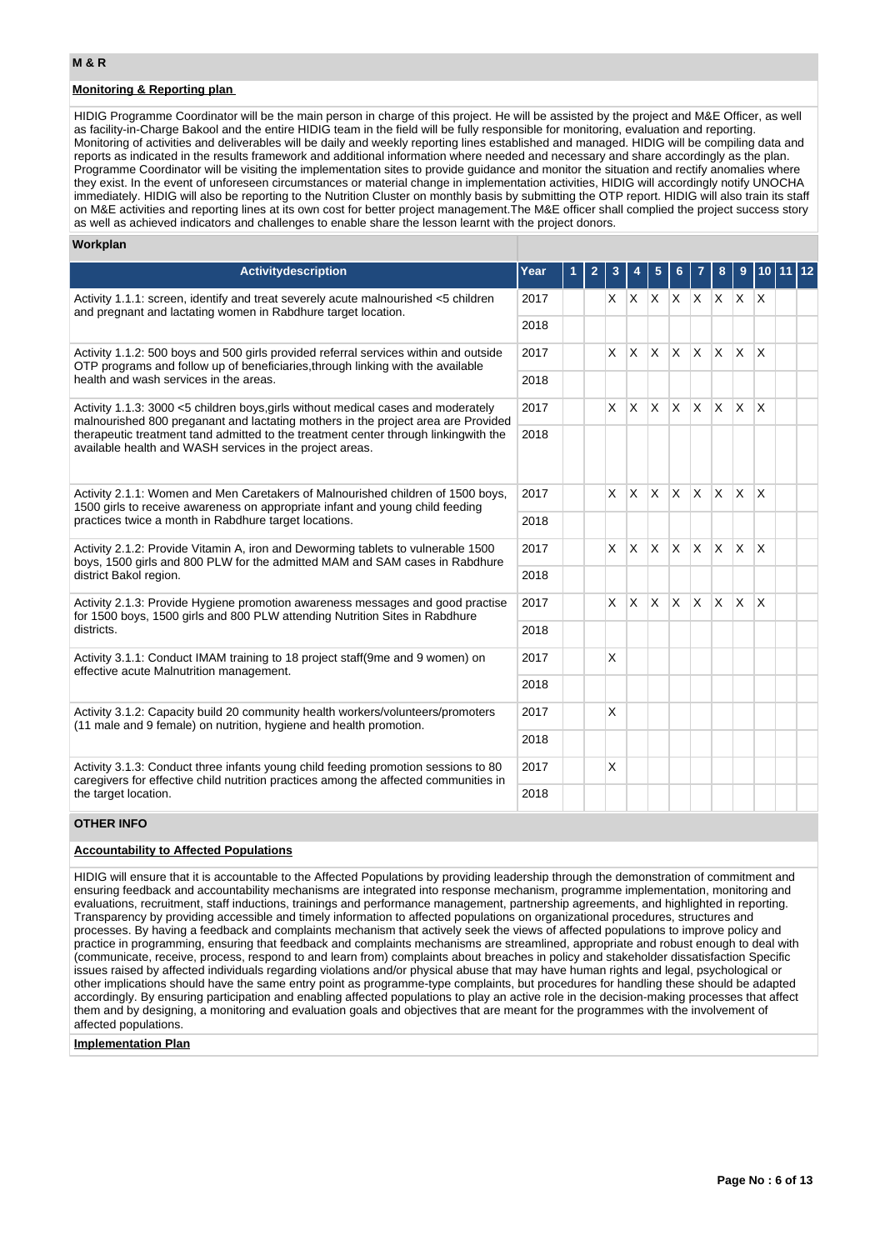# **Monitoring & Reporting plan**

HIDIG Programme Coordinator will be the main person in charge of this project. He will be assisted by the project and M&E Officer, as well as facility-in-Charge Bakool and the entire HIDIG team in the field will be fully responsible for monitoring, evaluation and reporting. Monitoring of activities and deliverables will be daily and weekly reporting lines established and managed. HIDIG will be compiling data and reports as indicated in the results framework and additional information where needed and necessary and share accordingly as the plan. Programme Coordinator will be visiting the implementation sites to provide guidance and monitor the situation and rectify anomalies where they exist. In the event of unforeseen circumstances or material change in implementation activities, HIDIG will accordingly notify UNOCHA immediately. HIDIG will also be reporting to the Nutrition Cluster on monthly basis by submitting the OTP report. HIDIG will also train its staff on M&E activities and reporting lines at its own cost for better project management.The M&E officer shall complied the project success story

#### **Workplan Activitydescription Year 1 2 3 4 5 6 7 8 9 10 11 12** Activity 1.1.1: screen, identify and treat severely acute malnourished <5 children and pregnant and lactating women in Rabdhure target location. 2017 | | | X | X | X | X | X | X | X | X 2018 Activity 1.1.2: 500 boys and 500 girls provided referral services within and outside OTP programs and follow up of beneficiaries,through linking with the available health and wash services in the areas. 2017 | | | X | X | X | X | X | X | X | X 2018 Activity 1.1.3: 3000 <5 children boys,girls without medical cases and moderately malnourished 800 preganant and lactating mothers in the project area are Provided therapeutic treatment tand admitted to the treatment center through linkingwith the available health and WASH services in the project areas. 2017 X X X X X X X X 2018 Activity 2.1.1: Women and Men Caretakers of Malnourished children of 1500 boys, 1500 girls to receive awareness on appropriate infant and young child feeding practices twice a month in Rabdhure target locations. 2017 X X X X X X X X 2018 Activity 2.1.2: Provide Vitamin A, iron and Deworming tablets to vulnerable 1500 boys, 1500 girls and 800 PLW for the admitted MAM and SAM cases in Rabdhure district Bakol region. 2017 X X X X X X X X 2018 Activity 2.1.3: Provide Hygiene promotion awareness messages and good practise for 1500 boys, 1500 girls and 800 PLW attending Nutrition Sites in Rabdhure districts. 2017 | | | X | X | X | X | X | X | X | X 2018 Activity 3.1.1: Conduct IMAM training to 18 project staff(9me and 9 women) on effective acute Malnutrition management. 2017 | X 2018 Activity 3.1.2: Capacity build 20 community health workers/volunteers/promoters (11 male and 9 female) on nutrition, hygiene and health promotion.  $2017$   $\frac{1}{2}$   $\frac{1}{2}$   $\frac{1}{2}$ 2018 Activity 3.1.3: Conduct three infants young child feeding promotion sessions to 80 caregivers for effective child nutrition practices among the affected communities in the target location. 2017 | | | X 2018 **OTHER INFO** as well as achieved indicators and challenges to enable share the lesson learnt with the project donors.

## **Accountability to Affected Populations**

HIDIG will ensure that it is accountable to the Affected Populations by providing leadership through the demonstration of commitment and ensuring feedback and accountability mechanisms are integrated into response mechanism, programme implementation, monitoring and evaluations, recruitment, staff inductions, trainings and performance management, partnership agreements, and highlighted in reporting. Transparency by providing accessible and timely information to affected populations on organizational procedures, structures and processes. By having a feedback and complaints mechanism that actively seek the views of affected populations to improve policy and practice in programming, ensuring that feedback and complaints mechanisms are streamlined, appropriate and robust enough to deal with (communicate, receive, process, respond to and learn from) complaints about breaches in policy and stakeholder dissatisfaction Specific issues raised by affected individuals regarding violations and/or physical abuse that may have human rights and legal, psychological or other implications should have the same entry point as programme-type complaints, but procedures for handling these should be adapted accordingly. By ensuring participation and enabling affected populations to play an active role in the decision-making processes that affect them and by designing, a monitoring and evaluation goals and objectives that are meant for the programmes with the involvement of affected populations.

### **Implementation Plan**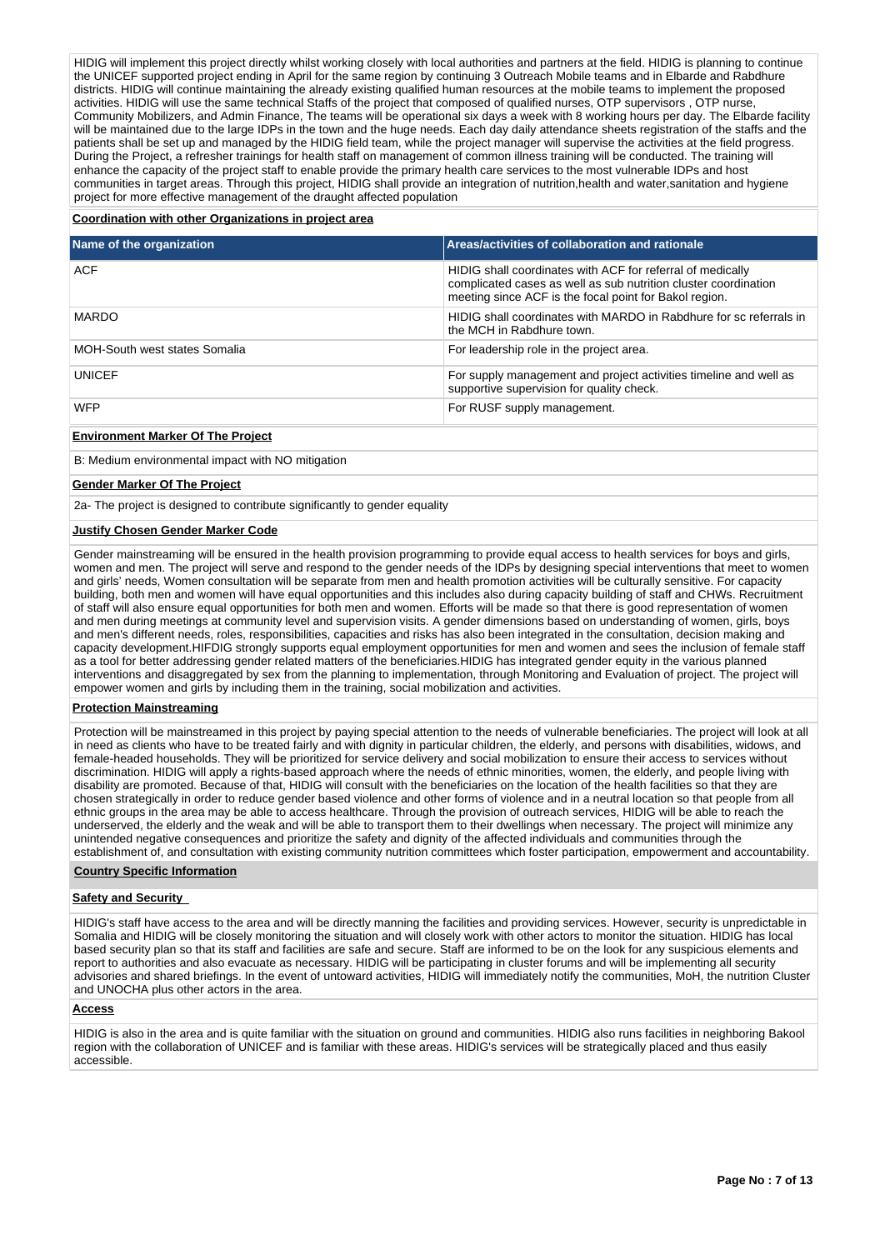HIDIG will implement this project directly whilst working closely with local authorities and partners at the field. HIDIG is planning to continue the UNICEF supported project ending in April for the same region by continuing 3 Outreach Mobile teams and in Elbarde and Rabdhure districts. HIDIG will continue maintaining the already existing qualified human resources at the mobile teams to implement the proposed activities. HIDIG will use the same technical Staffs of the project that composed of qualified nurses, OTP supervisors , OTP nurse, Community Mobilizers, and Admin Finance, The teams will be operational six days a week with 8 working hours per day. The Elbarde facility will be maintained due to the large IDPs in the town and the huge needs. Each day daily attendance sheets registration of the staffs and the patients shall be set up and managed by the HIDIG field team, while the project manager will supervise the activities at the field progress. During the Project, a refresher trainings for health staff on management of common illness training will be conducted. The training will enhance the capacity of the project staff to enable provide the primary health care services to the most vulnerable IDPs and host communities in target areas. Through this project, HIDIG shall provide an integration of nutrition,health and water,sanitation and hygiene project for more effective management of the draught affected population

## **Coordination with other Organizations in project area**

| Name of the organization             | Areas/activities of collaboration and rationale                                                                                                                                         |
|--------------------------------------|-----------------------------------------------------------------------------------------------------------------------------------------------------------------------------------------|
| <b>ACF</b>                           | HIDIG shall coordinates with ACF for referral of medically<br>complicated cases as well as sub nutrition cluster coordination<br>meeting since ACF is the focal point for Bakol region. |
| <b>MARDO</b>                         | HIDIG shall coordinates with MARDO in Rabdhure for sc referrals in<br>the MCH in Rabdhure town.                                                                                         |
| <b>MOH-South west states Somalia</b> | For leadership role in the project area.                                                                                                                                                |
| <b>UNICEF</b>                        | For supply management and project activities timeline and well as<br>supportive supervision for quality check.                                                                          |
| <b>WFP</b>                           | For RUSF supply management.                                                                                                                                                             |

## **Environment Marker Of The Project**

B: Medium environmental impact with NO mitigation

#### **Gender Marker Of The Project**

2a- The project is designed to contribute significantly to gender equality

#### **Justify Chosen Gender Marker Code**

Gender mainstreaming will be ensured in the health provision programming to provide equal access to health services for boys and girls, women and men. The project will serve and respond to the gender needs of the IDPs by designing special interventions that meet to women and girls' needs, Women consultation will be separate from men and health promotion activities will be culturally sensitive. For capacity building, both men and women will have equal opportunities and this includes also during capacity building of staff and CHWs. Recruitment of staff will also ensure equal opportunities for both men and women. Efforts will be made so that there is good representation of women and men during meetings at community level and supervision visits. A gender dimensions based on understanding of women, girls, boys and men's different needs, roles, responsibilities, capacities and risks has also been integrated in the consultation, decision making and capacity development.HIFDIG strongly supports equal employment opportunities for men and women and sees the inclusion of female staff as a tool for better addressing gender related matters of the beneficiaries.HIDIG has integrated gender equity in the various planned interventions and disaggregated by sex from the planning to implementation, through Monitoring and Evaluation of project. The project will empower women and girls by including them in the training, social mobilization and activities.

### **Protection Mainstreaming**

Protection will be mainstreamed in this project by paying special attention to the needs of vulnerable beneficiaries. The project will look at all in need as clients who have to be treated fairly and with dignity in particular children, the elderly, and persons with disabilities, widows, and female-headed households. They will be prioritized for service delivery and social mobilization to ensure their access to services without discrimination. HIDIG will apply a rights-based approach where the needs of ethnic minorities, women, the elderly, and people living with disability are promoted. Because of that, HIDIG will consult with the beneficiaries on the location of the health facilities so that they are chosen strategically in order to reduce gender based violence and other forms of violence and in a neutral location so that people from all ethnic groups in the area may be able to access healthcare. Through the provision of outreach services, HIDIG will be able to reach the underserved, the elderly and the weak and will be able to transport them to their dwellings when necessary. The project will minimize any unintended negative consequences and prioritize the safety and dignity of the affected individuals and communities through the establishment of, and consultation with existing community nutrition committees which foster participation, empowerment and accountability.

## **Country Specific Information**

#### **Safety and Security**

HIDIG's staff have access to the area and will be directly manning the facilities and providing services. However, security is unpredictable in Somalia and HIDIG will be closely monitoring the situation and will closely work with other actors to monitor the situation. HIDIG has local based security plan so that its staff and facilities are safe and secure. Staff are informed to be on the look for any suspicious elements and report to authorities and also evacuate as necessary. HIDIG will be participating in cluster forums and will be implementing all security advisories and shared briefings. In the event of untoward activities, HIDIG will immediately notify the communities, MoH, the nutrition Cluster and UNOCHA plus other actors in the area.

#### **Access**

HIDIG is also in the area and is quite familiar with the situation on ground and communities. HIDIG also runs facilities in neighboring Bakool region with the collaboration of UNICEF and is familiar with these areas. HIDIG's services will be strategically placed and thus easily accessible.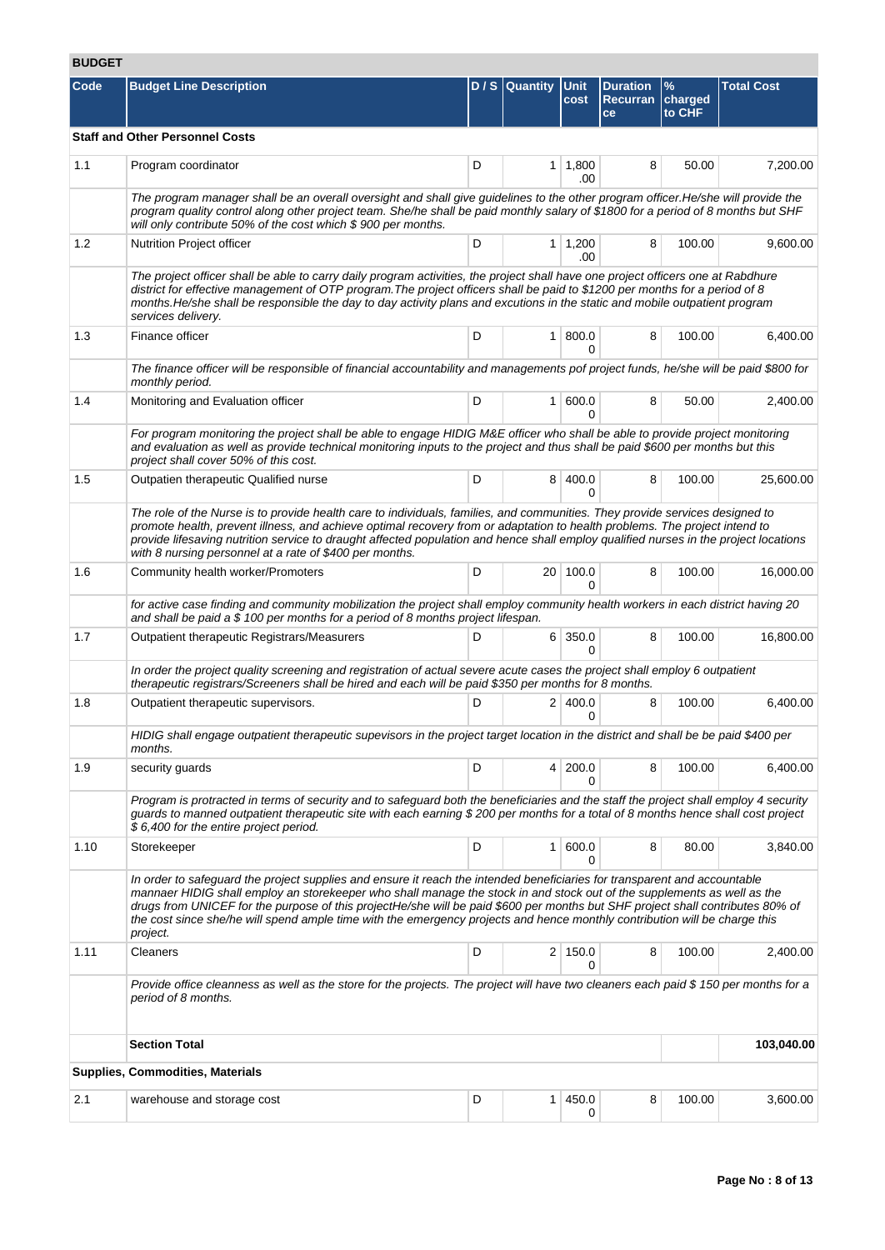# **BUDGET**

| Code | <b>Budget Line Description</b>                                                                                                                                                                                                                                                                                                                                                                                                                                                                                                   |   | D/S Quantity    | Unit<br>cost                   | <b>Duration</b><br>Recurran charged<br>ce | $\frac{9}{6}$<br>to CHF | <b>Total Cost</b> |  |
|------|----------------------------------------------------------------------------------------------------------------------------------------------------------------------------------------------------------------------------------------------------------------------------------------------------------------------------------------------------------------------------------------------------------------------------------------------------------------------------------------------------------------------------------|---|-----------------|--------------------------------|-------------------------------------------|-------------------------|-------------------|--|
|      | <b>Staff and Other Personnel Costs</b>                                                                                                                                                                                                                                                                                                                                                                                                                                                                                           |   |                 |                                |                                           |                         |                   |  |
| 1.1  | Program coordinator                                                                                                                                                                                                                                                                                                                                                                                                                                                                                                              | D |                 | $1 \mid 1,800$<br>.00          | 8                                         | 50.00                   | 7,200.00          |  |
|      | The program manager shall be an overall oversight and shall give guidelines to the other program officer. He/she will provide the<br>program quality control along other project team. She/he shall be paid monthly salary of \$1800 for a period of 8 months but SHF<br>will only contribute 50% of the cost which \$900 per months.                                                                                                                                                                                            |   |                 |                                |                                           |                         |                   |  |
| 1.2  | Nutrition Project officer                                                                                                                                                                                                                                                                                                                                                                                                                                                                                                        | D |                 | $1 \mid 1,200$<br>.00          | 8                                         | 100.00                  | 9,600.00          |  |
|      | The project officer shall be able to carry daily program activities, the project shall have one project officers one at Rabdhure<br>district for effective management of OTP program. The project officers shall be paid to \$1200 per months for a period of 8<br>months. He/she shall be responsible the day to day activity plans and excutions in the static and mobile outpatient program<br>services delivery.                                                                                                             |   |                 |                                |                                           |                         |                   |  |
| 1.3  | Finance officer                                                                                                                                                                                                                                                                                                                                                                                                                                                                                                                  | D |                 | 1   800.0<br>0                 | 8                                         | 100.00                  | 6,400.00          |  |
|      | The finance officer will be responsible of financial accountability and managements pof project funds, he/she will be paid \$800 for<br>monthly period.                                                                                                                                                                                                                                                                                                                                                                          |   |                 |                                |                                           |                         |                   |  |
| 1.4  | Monitoring and Evaluation officer                                                                                                                                                                                                                                                                                                                                                                                                                                                                                                | D | 1 <sup>1</sup>  | 600.0<br>0                     | 8                                         | 50.00                   | 2,400.00          |  |
|      | For program monitoring the project shall be able to engage HIDIG M&E officer who shall be able to provide project monitoring<br>and evaluation as well as provide technical monitoring inputs to the project and thus shall be paid \$600 per months but this<br>project shall cover 50% of this cost.                                                                                                                                                                                                                           |   |                 |                                |                                           |                         |                   |  |
| 1.5  | Outpatien therapeutic Qualified nurse                                                                                                                                                                                                                                                                                                                                                                                                                                                                                            | D |                 | 8 400.0<br>$\Omega$            | 8                                         | 100.00                  | 25,600.00         |  |
|      | The role of the Nurse is to provide health care to individuals, families, and communities. They provide services designed to<br>promote health, prevent illness, and achieve optimal recovery from or adaptation to health problems. The project intend to<br>provide lifesaving nutrition service to draught affected population and hence shall employ qualified nurses in the project locations<br>with 8 nursing personnel at a rate of \$400 per months.                                                                    |   |                 |                                |                                           |                         |                   |  |
| 1.6  | Community health worker/Promoters                                                                                                                                                                                                                                                                                                                                                                                                                                                                                                | D | 20 <sup>1</sup> | 100.0<br>$\Omega$              | 8                                         | 100.00                  | 16,000.00         |  |
|      | for active case finding and community mobilization the project shall employ community health workers in each district having 20<br>and shall be paid a \$ 100 per months for a period of 8 months project lifespan.                                                                                                                                                                                                                                                                                                              |   |                 |                                |                                           |                         |                   |  |
| 1.7  | Outpatient therapeutic Registrars/Measurers                                                                                                                                                                                                                                                                                                                                                                                                                                                                                      | D |                 | $6 \mid 350.0$<br><sup>0</sup> | 8                                         | 100.00                  | 16,800.00         |  |
|      | In order the project quality screening and registration of actual severe acute cases the project shall employ 6 outpatient<br>therapeutic registrars/Screeners shall be hired and each will be paid \$350 per months for 8 months.                                                                                                                                                                                                                                                                                               |   |                 |                                |                                           |                         |                   |  |
| 1.8  | Outpatient therapeutic supervisors.                                                                                                                                                                                                                                                                                                                                                                                                                                                                                              | D |                 | 2 400.0<br>0                   | 8                                         | 100.00                  | 6,400.00          |  |
|      | HIDIG shall engage outpatient therapeutic supevisors in the project target location in the district and shall be be paid \$400 per<br>months.                                                                                                                                                                                                                                                                                                                                                                                    |   |                 |                                |                                           |                         |                   |  |
| 1.9  | security guards                                                                                                                                                                                                                                                                                                                                                                                                                                                                                                                  | D |                 | 4 200.0                        | 8                                         | 100.00                  | 6,400.00          |  |
|      | Program is protracted in terms of security and to safeguard both the beneficiaries and the staff the project shall employ 4 security<br>quards to manned outpatient therapeutic site with each earning \$200 per months for a total of 8 months hence shall cost project<br>\$6,400 for the entire project period.                                                                                                                                                                                                               |   |                 |                                |                                           |                         |                   |  |
| 1.10 | Storekeeper                                                                                                                                                                                                                                                                                                                                                                                                                                                                                                                      | D | 1 <sup>1</sup>  | 600.0<br>0                     | 8                                         | 80.00                   | 3,840.00          |  |
|      | In order to safeguard the project supplies and ensure it reach the intended beneficiaries for transparent and accountable<br>mannaer HIDIG shall employ an storekeeper who shall manage the stock in and stock out of the supplements as well as the<br>drugs from UNICEF for the purpose of this projectHe/she will be paid \$600 per months but SHF project shall contributes 80% of<br>the cost since she/he will spend ample time with the emergency projects and hence monthly contribution will be charge this<br>project. |   |                 |                                |                                           |                         |                   |  |
| 1.11 | Cleaners                                                                                                                                                                                                                                                                                                                                                                                                                                                                                                                         | D |                 | 2 150.0<br>0                   | 8                                         | 100.00                  | 2,400.00          |  |
|      | Provide office cleanness as well as the store for the projects. The project will have two cleaners each paid \$150 per months for a<br>period of 8 months.                                                                                                                                                                                                                                                                                                                                                                       |   |                 |                                |                                           |                         |                   |  |
|      | <b>Section Total</b>                                                                                                                                                                                                                                                                                                                                                                                                                                                                                                             |   |                 |                                |                                           |                         | 103,040.00        |  |
|      | <b>Supplies, Commodities, Materials</b>                                                                                                                                                                                                                                                                                                                                                                                                                                                                                          |   |                 |                                |                                           |                         |                   |  |
| 2.1  | warehouse and storage cost                                                                                                                                                                                                                                                                                                                                                                                                                                                                                                       | D | 1 <sup>1</sup>  | 450.0<br>0                     | 8                                         | 100.00                  | 3,600.00          |  |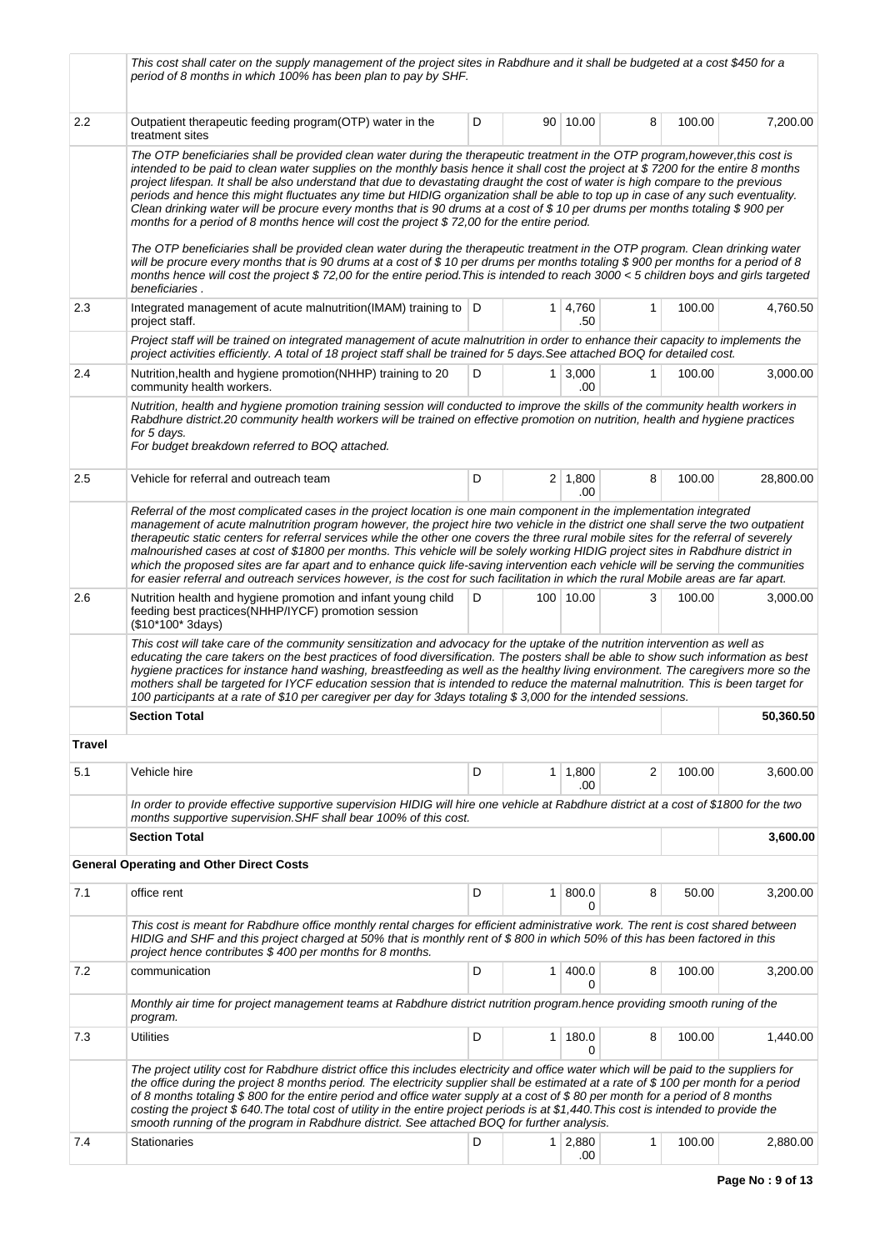|         | This cost shall cater on the supply management of the project sites in Rabdhure and it shall be budgeted at a cost \$450 for a<br>period of 8 months in which 100% has been plan to pay by SHF.                                                                                                                                                                                                                                                                                                                                                                                                                                                                                                                                                                                                                                                                                                                                                                                                                                                                                                                                                                                          |   |                |                       |   |        |           |
|---------|------------------------------------------------------------------------------------------------------------------------------------------------------------------------------------------------------------------------------------------------------------------------------------------------------------------------------------------------------------------------------------------------------------------------------------------------------------------------------------------------------------------------------------------------------------------------------------------------------------------------------------------------------------------------------------------------------------------------------------------------------------------------------------------------------------------------------------------------------------------------------------------------------------------------------------------------------------------------------------------------------------------------------------------------------------------------------------------------------------------------------------------------------------------------------------------|---|----------------|-----------------------|---|--------|-----------|
| 2.2     | Outpatient therapeutic feeding program(OTP) water in the<br>treatment sites                                                                                                                                                                                                                                                                                                                                                                                                                                                                                                                                                                                                                                                                                                                                                                                                                                                                                                                                                                                                                                                                                                              | D |                | 90 10.00              | 8 | 100.00 | 7,200.00  |
|         | The OTP beneficiaries shall be provided clean water during the therapeutic treatment in the OTP program, however, this cost is<br>intended to be paid to clean water supplies on the monthly basis hence it shall cost the project at \$7200 for the entire 8 months<br>project lifespan. It shall be also understand that due to devastating draught the cost of water is high compare to the previous<br>periods and hence this might fluctuates any time but HIDIG organization shall be able to top up in case of any such eventuality.<br>Clean drinking water will be procure every months that is 90 drums at a cost of \$10 per drums per months totaling \$900 per<br>months for a period of 8 months hence will cost the project $$72,00$ for the entire period.<br>The OTP beneficiaries shall be provided clean water during the therapeutic treatment in the OTP program. Clean drinking water<br>will be procure every months that is 90 drums at a cost of \$10 per drums per months totaling \$900 per months for a period of 8<br>months hence will cost the project \$72,00 for the entire period. This is intended to reach 3000 < 5 children boys and girls targeted |   |                |                       |   |        |           |
| 2.3     | beneficiaries.<br>Integrated management of acute malnutrition(IMAM) training to  D<br>project staff.                                                                                                                                                                                                                                                                                                                                                                                                                                                                                                                                                                                                                                                                                                                                                                                                                                                                                                                                                                                                                                                                                     |   | $\mathbf{1}$   | 4,760<br>.50          | 1 | 100.00 | 4,760.50  |
|         | Project staff will be trained on integrated management of acute malnutrition in order to enhance their capacity to implements the<br>project activities efficiently. A total of 18 project staff shall be trained for 5 days. See attached BOQ for detailed cost.                                                                                                                                                                                                                                                                                                                                                                                                                                                                                                                                                                                                                                                                                                                                                                                                                                                                                                                        |   |                |                       |   |        |           |
| 2.4     | Nutrition, health and hygiene promotion (NHHP) training to 20<br>community health workers.                                                                                                                                                                                                                                                                                                                                                                                                                                                                                                                                                                                                                                                                                                                                                                                                                                                                                                                                                                                                                                                                                               | D |                | $1 \mid 3,000$<br>.00 | 1 | 100.00 | 3,000.00  |
|         | Nutrition, health and hygiene promotion training session will conducted to improve the skills of the community health workers in<br>Rabdhure district.20 community health workers will be trained on effective promotion on nutrition, health and hygiene practices<br>for 5 days.<br>For budget breakdown referred to BOQ attached.                                                                                                                                                                                                                                                                                                                                                                                                                                                                                                                                                                                                                                                                                                                                                                                                                                                     |   |                |                       |   |        |           |
| 2.5     | Vehicle for referral and outreach team                                                                                                                                                                                                                                                                                                                                                                                                                                                                                                                                                                                                                                                                                                                                                                                                                                                                                                                                                                                                                                                                                                                                                   | D |                | $2 \mid 1,800$<br>.00 | 8 | 100.00 | 28,800.00 |
|         | Referral of the most complicated cases in the project location is one main component in the implementation integrated<br>management of acute malnutrition program however, the project hire two vehicle in the district one shall serve the two outpatient<br>therapeutic static centers for referral services while the other one covers the three rural mobile sites for the referral of severely<br>malnourished cases at cost of \$1800 per months. This vehicle will be solely working HIDIG project sites in Rabdhure district in<br>which the proposed sites are far apart and to enhance quick life-saving intervention each vehicle will be serving the communities<br>for easier referral and outreach services however, is the cost for such facilitation in which the rural Mobile areas are far apart.                                                                                                                                                                                                                                                                                                                                                                      |   |                |                       |   |        |           |
| 2.6     | Nutrition health and hygiene promotion and infant young child<br>feeding best practices(NHHP/IYCF) promotion session<br>(\$10*100* 3days)                                                                                                                                                                                                                                                                                                                                                                                                                                                                                                                                                                                                                                                                                                                                                                                                                                                                                                                                                                                                                                                | D |                | 100 10.00             | 3 | 100.00 | 3,000.00  |
|         | This cost will take care of the community sensitization and advocacy for the uptake of the nutrition intervention as well as<br>educating the care takers on the best practices of food diversification. The posters shall be able to show such information as best<br>hygiene practices for instance hand washing, breastfeeding as well as the healthy living environment. The caregivers more so the<br>mothers shall be targeted for IYCF education session that is intended to reduce the maternal malnutrition. This is been target for<br>100 participants at a rate of \$10 per caregiver per day for 3days totaling \$3,000 for the intended sessions.                                                                                                                                                                                                                                                                                                                                                                                                                                                                                                                          |   |                |                       |   |        |           |
|         | <b>Section Total</b>                                                                                                                                                                                                                                                                                                                                                                                                                                                                                                                                                                                                                                                                                                                                                                                                                                                                                                                                                                                                                                                                                                                                                                     |   |                |                       |   |        | 50,360.50 |
| Travel  |                                                                                                                                                                                                                                                                                                                                                                                                                                                                                                                                                                                                                                                                                                                                                                                                                                                                                                                                                                                                                                                                                                                                                                                          |   |                |                       |   |        |           |
| 5.1     | Vehicle hire                                                                                                                                                                                                                                                                                                                                                                                                                                                                                                                                                                                                                                                                                                                                                                                                                                                                                                                                                                                                                                                                                                                                                                             | D | 1 <sup>1</sup> | 1,800<br>.00          | 2 | 100.00 | 3,600.00  |
|         | In order to provide effective supportive supervision HIDIG will hire one vehicle at Rabdhure district at a cost of \$1800 for the two<br>months supportive supervision. SHF shall bear 100% of this cost.                                                                                                                                                                                                                                                                                                                                                                                                                                                                                                                                                                                                                                                                                                                                                                                                                                                                                                                                                                                |   |                |                       |   |        |           |
|         | <b>Section Total</b>                                                                                                                                                                                                                                                                                                                                                                                                                                                                                                                                                                                                                                                                                                                                                                                                                                                                                                                                                                                                                                                                                                                                                                     |   |                |                       |   |        | 3,600.00  |
|         | <b>General Operating and Other Direct Costs</b>                                                                                                                                                                                                                                                                                                                                                                                                                                                                                                                                                                                                                                                                                                                                                                                                                                                                                                                                                                                                                                                                                                                                          |   |                |                       |   |        |           |
| 7.1     | office rent                                                                                                                                                                                                                                                                                                                                                                                                                                                                                                                                                                                                                                                                                                                                                                                                                                                                                                                                                                                                                                                                                                                                                                              | D | 1 <sup>1</sup> | 800.0<br>0            | 8 | 50.00  | 3,200.00  |
|         | This cost is meant for Rabdhure office monthly rental charges for efficient administrative work. The rent is cost shared between<br>HIDIG and SHF and this project charged at 50% that is monthly rent of \$800 in which 50% of this has been factored in this<br>project hence contributes \$400 per months for 8 months.                                                                                                                                                                                                                                                                                                                                                                                                                                                                                                                                                                                                                                                                                                                                                                                                                                                               |   |                |                       |   |        |           |
| $7.2\,$ | communication                                                                                                                                                                                                                                                                                                                                                                                                                                                                                                                                                                                                                                                                                                                                                                                                                                                                                                                                                                                                                                                                                                                                                                            | D | 1              | 400.0<br>0            | 8 | 100.00 | 3,200.00  |
|         | Monthly air time for project management teams at Rabdhure district nutrition program.hence providing smooth runing of the<br>program.                                                                                                                                                                                                                                                                                                                                                                                                                                                                                                                                                                                                                                                                                                                                                                                                                                                                                                                                                                                                                                                    |   |                |                       |   |        |           |
| 7.3     | <b>Utilities</b>                                                                                                                                                                                                                                                                                                                                                                                                                                                                                                                                                                                                                                                                                                                                                                                                                                                                                                                                                                                                                                                                                                                                                                         | D | $\mathbf{1}$   | 180.0<br>0            | 8 | 100.00 | 1,440.00  |
|         | The project utility cost for Rabdhure district office this includes electricity and office water which will be paid to the suppliers for<br>the office during the project 8 months period. The electricity supplier shall be estimated at a rate of \$100 per month for a period<br>of 8 months totaling \$800 for the entire period and office water supply at a cost of \$80 per month for a period of 8 months<br>costing the project \$ 640. The total cost of utility in the entire project periods is at \$1,440. This cost is intended to provide the<br>smooth running of the program in Rabdhure district. See attached BOQ for further analysis.                                                                                                                                                                                                                                                                                                                                                                                                                                                                                                                               |   |                |                       |   |        |           |
| 7.4     | Stationaries                                                                                                                                                                                                                                                                                                                                                                                                                                                                                                                                                                                                                                                                                                                                                                                                                                                                                                                                                                                                                                                                                                                                                                             | D |                | $1 \mid 2,880$<br>.00 | 1 | 100.00 | 2,880.00  |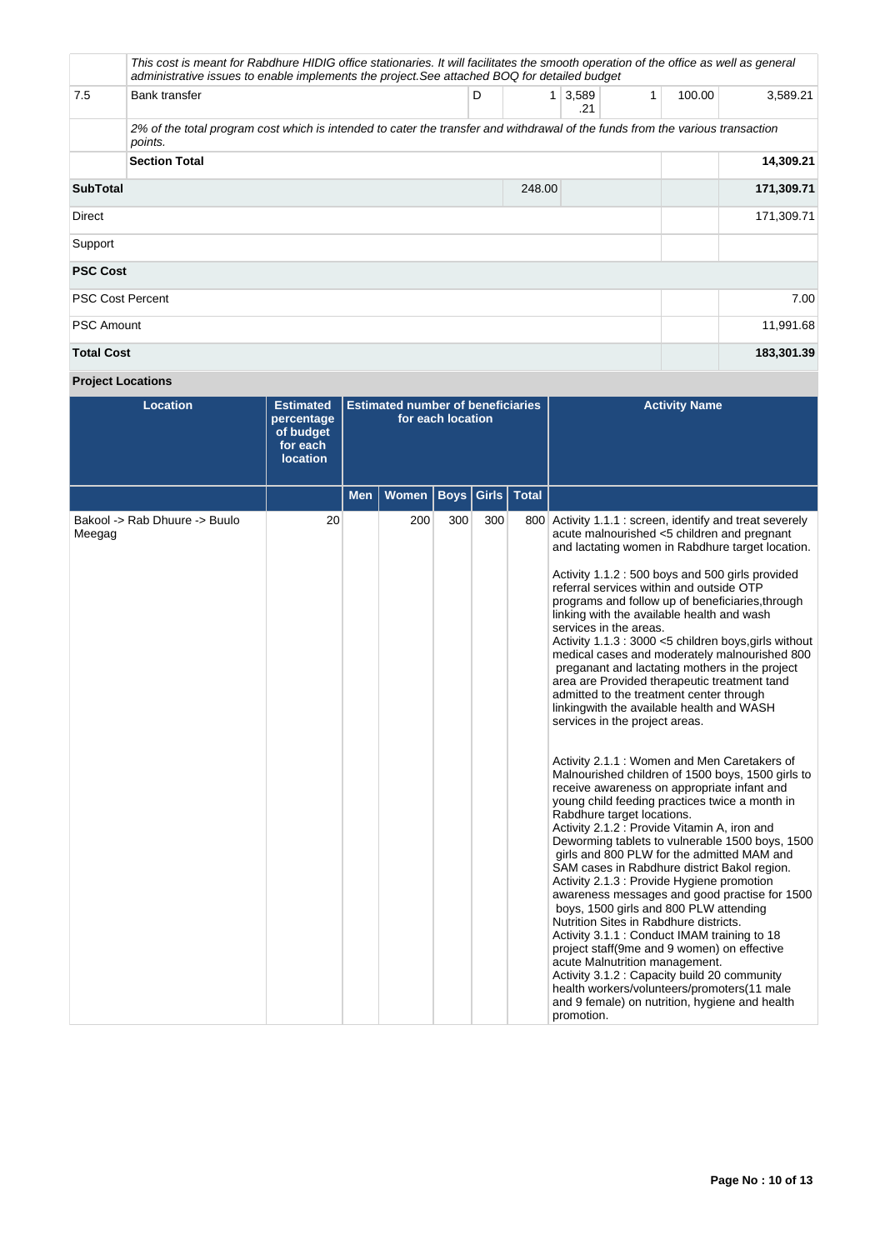|                           | This cost is meant for Rabdhure HIDIG office stationaries. It will facilitates the smooth operation of the office as well as general<br>administrative issues to enable implements the project. See attached BOQ for detailed budget |   |              |              |           |        |            |
|---------------------------|--------------------------------------------------------------------------------------------------------------------------------------------------------------------------------------------------------------------------------------|---|--------------|--------------|-----------|--------|------------|
| 7.5                       | Bank transfer                                                                                                                                                                                                                        | D | $\mathbf{1}$ | 3,589<br>.21 | 1         | 100.00 | 3,589.21   |
|                           | 2% of the total program cost which is intended to cater the transfer and withdrawal of the funds from the various transaction<br>points.                                                                                             |   |              |              |           |        |            |
|                           | <b>Section Total</b>                                                                                                                                                                                                                 |   |              |              |           |        | 14,309.21  |
| <b>SubTotal</b><br>248.00 |                                                                                                                                                                                                                                      |   |              |              |           |        | 171,309.71 |
| Direct                    |                                                                                                                                                                                                                                      |   |              |              |           |        | 171,309.71 |
| Support                   |                                                                                                                                                                                                                                      |   |              |              |           |        |            |
| <b>PSC Cost</b>           |                                                                                                                                                                                                                                      |   |              |              |           |        |            |
| <b>PSC Cost Percent</b>   |                                                                                                                                                                                                                                      |   |              |              |           |        | 7.00       |
| <b>PSC Amount</b>         |                                                                                                                                                                                                                                      |   |              |              | 11,991.68 |        |            |
| <b>Total Cost</b>         |                                                                                                                                                                                                                                      |   |              |              |           |        | 183,301.39 |

# **Project Locations**

| <b>Location</b>                         | <b>Estimated</b><br>percentage<br>of budget<br>for each<br><b>location</b> | <b>Estimated number of beneficiaries</b><br>for each location<br>Girls   Total |              |             |     |  | <b>Activity Name</b>                                                                                                                                                                                                                                                                                                                                                                                                                                                                                                                                                                                                                                                                                                                                                                                                                                                                                                                                                                                                                                                                                                                                                                                                                                                                                                                                                                                                                                                                                                                                                                                                                                    |
|-----------------------------------------|----------------------------------------------------------------------------|--------------------------------------------------------------------------------|--------------|-------------|-----|--|---------------------------------------------------------------------------------------------------------------------------------------------------------------------------------------------------------------------------------------------------------------------------------------------------------------------------------------------------------------------------------------------------------------------------------------------------------------------------------------------------------------------------------------------------------------------------------------------------------------------------------------------------------------------------------------------------------------------------------------------------------------------------------------------------------------------------------------------------------------------------------------------------------------------------------------------------------------------------------------------------------------------------------------------------------------------------------------------------------------------------------------------------------------------------------------------------------------------------------------------------------------------------------------------------------------------------------------------------------------------------------------------------------------------------------------------------------------------------------------------------------------------------------------------------------------------------------------------------------------------------------------------------------|
|                                         |                                                                            | <b>Men</b>                                                                     | <b>Women</b> | <b>Boys</b> |     |  |                                                                                                                                                                                                                                                                                                                                                                                                                                                                                                                                                                                                                                                                                                                                                                                                                                                                                                                                                                                                                                                                                                                                                                                                                                                                                                                                                                                                                                                                                                                                                                                                                                                         |
| Bakool -> Rab Dhuure -> Buulo<br>Meegag | 20                                                                         |                                                                                | 200          | 300         | 300 |  | 800 Activity 1.1.1 : screen, identify and treat severely<br>acute malnourished <5 children and pregnant<br>and lactating women in Rabdhure target location.<br>Activity 1.1.2 : 500 boys and 500 girls provided<br>referral services within and outside OTP<br>programs and follow up of beneficiaries, through<br>linking with the available health and wash<br>services in the areas.<br>Activity 1.1.3 : 3000 <5 children boys, girls without<br>medical cases and moderately malnourished 800<br>preganant and lactating mothers in the project<br>area are Provided therapeutic treatment tand<br>admitted to the treatment center through<br>linking with the available health and WASH<br>services in the project areas.<br>Activity 2.1.1 : Women and Men Caretakers of<br>Malnourished children of 1500 boys, 1500 girls to<br>receive awareness on appropriate infant and<br>young child feeding practices twice a month in<br>Rabdhure target locations.<br>Activity 2.1.2 : Provide Vitamin A, iron and<br>Deworming tablets to vulnerable 1500 boys, 1500<br>girls and 800 PLW for the admitted MAM and<br>SAM cases in Rabdhure district Bakol region.<br>Activity 2.1.3 : Provide Hygiene promotion<br>awareness messages and good practise for 1500<br>boys, 1500 girls and 800 PLW attending<br>Nutrition Sites in Rabdhure districts.<br>Activity 3.1.1 : Conduct IMAM training to 18<br>project staff(9me and 9 women) on effective<br>acute Malnutrition management.<br>Activity 3.1.2 : Capacity build 20 community<br>health workers/volunteers/promoters(11 male<br>and 9 female) on nutrition, hygiene and health<br>promotion. |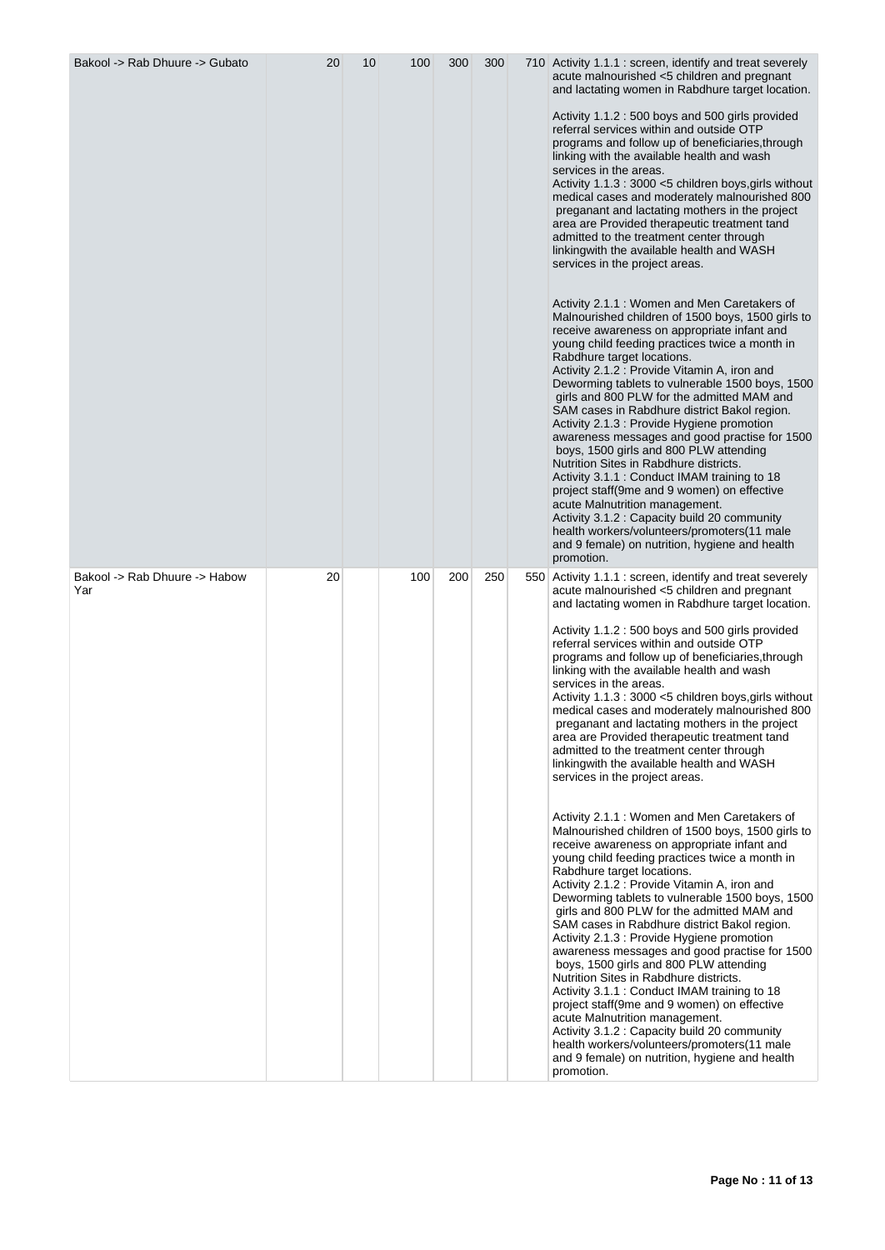| Bakool -> Rab Dhuure -> Gubato       | 20 | 10 | 100 | 300 | 300 | 710 Activity 1.1.1 : screen, identify and treat severely<br>acute malnourished <5 children and pregnant<br>and lactating women in Rabdhure target location.<br>Activity 1.1.2 : 500 boys and 500 girls provided<br>referral services within and outside OTP<br>programs and follow up of beneficiaries, through<br>linking with the available health and wash<br>services in the areas.<br>Activity 1.1.3 : 3000 <5 children boys, girls without<br>medical cases and moderately malnourished 800<br>preganant and lactating mothers in the project<br>area are Provided therapeutic treatment tand<br>admitted to the treatment center through<br>linkingwith the available health and WASH<br>services in the project areas.<br>Activity 2.1.1 : Women and Men Caretakers of<br>Malnourished children of 1500 boys, 1500 girls to<br>receive awareness on appropriate infant and<br>young child feeding practices twice a month in<br>Rabdhure target locations.<br>Activity 2.1.2 : Provide Vitamin A, iron and<br>Deworming tablets to vulnerable 1500 boys, 1500<br>girls and 800 PLW for the admitted MAM and<br>SAM cases in Rabdhure district Bakol region.<br>Activity 2.1.3 : Provide Hygiene promotion<br>awareness messages and good practise for 1500<br>boys, 1500 girls and 800 PLW attending<br>Nutrition Sites in Rabdhure districts.<br>Activity 3.1.1 : Conduct IMAM training to 18<br>project staff(9me and 9 women) on effective<br>acute Malnutrition management.<br>Activity 3.1.2 : Capacity build 20 community<br>health workers/volunteers/promoters(11 male<br>and 9 female) on nutrition, hygiene and health<br>promotion.  |
|--------------------------------------|----|----|-----|-----|-----|---------------------------------------------------------------------------------------------------------------------------------------------------------------------------------------------------------------------------------------------------------------------------------------------------------------------------------------------------------------------------------------------------------------------------------------------------------------------------------------------------------------------------------------------------------------------------------------------------------------------------------------------------------------------------------------------------------------------------------------------------------------------------------------------------------------------------------------------------------------------------------------------------------------------------------------------------------------------------------------------------------------------------------------------------------------------------------------------------------------------------------------------------------------------------------------------------------------------------------------------------------------------------------------------------------------------------------------------------------------------------------------------------------------------------------------------------------------------------------------------------------------------------------------------------------------------------------------------------------------------------------------------------------|
| Bakool -> Rab Dhuure -> Habow<br>Yar | 20 |    | 100 | 200 | 250 | 550 Activity 1.1.1 : screen, identify and treat severely<br>acute malnourished <5 children and pregnant<br>and lactating women in Rabdhure target location.<br>Activity 1.1.2 : 500 boys and 500 girls provided<br>referral services within and outside OTP<br>programs and follow up of beneficiaries, through<br>linking with the available health and wash<br>services in the areas.<br>Activity 1.1.3 : 3000 <5 children boys, girls without<br>medical cases and moderately malnourished 800<br>preganant and lactating mothers in the project<br>area are Provided therapeutic treatment tand<br>admitted to the treatment center through<br>linking with the available health and WASH<br>services in the project areas.<br>Activity 2.1.1 : Women and Men Caretakers of<br>Malnourished children of 1500 boys, 1500 girls to<br>receive awareness on appropriate infant and<br>young child feeding practices twice a month in<br>Rabdhure target locations.<br>Activity 2.1.2 : Provide Vitamin A, iron and<br>Deworming tablets to vulnerable 1500 boys, 1500<br>girls and 800 PLW for the admitted MAM and<br>SAM cases in Rabdhure district Bakol region.<br>Activity 2.1.3 : Provide Hygiene promotion<br>awareness messages and good practise for 1500<br>boys, 1500 girls and 800 PLW attending<br>Nutrition Sites in Rabdhure districts.<br>Activity 3.1.1 : Conduct IMAM training to 18<br>project staff(9me and 9 women) on effective<br>acute Malnutrition management.<br>Activity 3.1.2 : Capacity build 20 community<br>health workers/volunteers/promoters(11 male<br>and 9 female) on nutrition, hygiene and health<br>promotion. |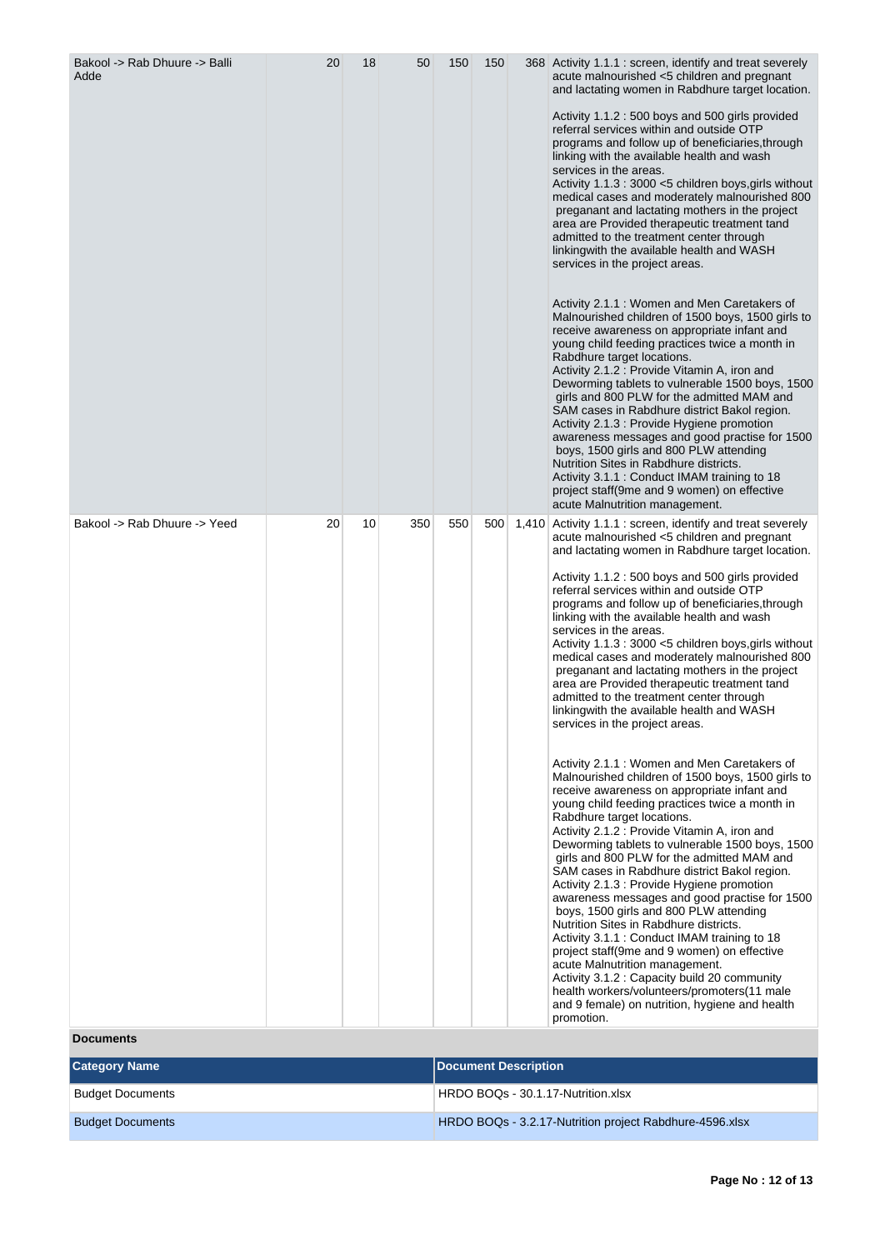| Bakool -> Rab Dhuure -> Balli<br>Adde | 20 | 18 | 50  | 150 | 150 | 368 Activity 1.1.1 : screen, identify and treat severely<br>acute malnourished <5 children and pregnant<br>and lactating women in Rabdhure target location.<br>Activity 1.1.2: 500 boys and 500 girls provided<br>referral services within and outside OTP<br>programs and follow up of beneficiaries, through<br>linking with the available health and wash<br>services in the areas.<br>Activity 1.1.3 : 3000 <5 children boys, girls without<br>medical cases and moderately malnourished 800<br>preganant and lactating mothers in the project<br>area are Provided therapeutic treatment tand<br>admitted to the treatment center through<br>linkingwith the available health and WASH<br>services in the project areas.<br>Activity 2.1.1 : Women and Men Caretakers of<br>Malnourished children of 1500 boys, 1500 girls to<br>receive awareness on appropriate infant and<br>young child feeding practices twice a month in<br>Rabdhure target locations.<br>Activity 2.1.2 : Provide Vitamin A, iron and<br>Deworming tablets to vulnerable 1500 boys, 1500<br>girls and 800 PLW for the admitted MAM and<br>SAM cases in Rabdhure district Bakol region.<br>Activity 2.1.3 : Provide Hygiene promotion<br>awareness messages and good practise for 1500<br>boys, 1500 girls and 800 PLW attending<br>Nutrition Sites in Rabdhure districts.<br>Activity 3.1.1 : Conduct IMAM training to 18<br>project staff(9me and 9 women) on effective<br>acute Malnutrition management.                                                                                                                                                                 |
|---------------------------------------|----|----|-----|-----|-----|--------------------------------------------------------------------------------------------------------------------------------------------------------------------------------------------------------------------------------------------------------------------------------------------------------------------------------------------------------------------------------------------------------------------------------------------------------------------------------------------------------------------------------------------------------------------------------------------------------------------------------------------------------------------------------------------------------------------------------------------------------------------------------------------------------------------------------------------------------------------------------------------------------------------------------------------------------------------------------------------------------------------------------------------------------------------------------------------------------------------------------------------------------------------------------------------------------------------------------------------------------------------------------------------------------------------------------------------------------------------------------------------------------------------------------------------------------------------------------------------------------------------------------------------------------------------------------------------------------------------------------------------------------|
| Bakool -> Rab Dhuure -> Yeed          | 20 | 10 | 350 | 550 | 500 | 1,410 Activity 1.1.1 : screen, identify and treat severely<br>acute malnourished <5 children and pregnant<br>and lactating women in Rabdhure target location.<br>Activity 1.1.2: 500 boys and 500 girls provided<br>referral services within and outside OTP<br>programs and follow up of beneficiaries, through<br>linking with the available health and wash<br>services in the areas.<br>Activity 1.1.3: 3000 <5 children boys, girls without<br>medical cases and moderately malnourished 800<br>preganant and lactating mothers in the project<br>area are Provided therapeutic treatment tand<br>admitted to the treatment center through<br>linkingwith the available health and WASH<br>services in the project areas.<br>Activity 2.1.1 : Women and Men Caretakers of<br>Malnourished children of 1500 boys, 1500 girls to<br>receive awareness on appropriate infant and<br>young child feeding practices twice a month in<br>Rabdhure target locations.<br>Activity 2.1.2 : Provide Vitamin A, iron and<br>Deworming tablets to vulnerable 1500 boys, 1500<br>girls and 800 PLW for the admitted MAM and<br>SAM cases in Rabdhure district Bakol region.<br>Activity 2.1.3 : Provide Hygiene promotion<br>awareness messages and good practise for 1500<br>boys, 1500 girls and 800 PLW attending<br>Nutrition Sites in Rabdhure districts.<br>Activity 3.1.1 : Conduct IMAM training to 18<br>project staff(9me and 9 women) on effective<br>acute Malnutrition management.<br>Activity 3.1.2 : Capacity build 20 community<br>health workers/volunteers/promoters(11 male<br>and 9 female) on nutrition, hygiene and health<br>promotion. |

**Documents**

| <b>Category Name</b>    | Document Description                                    |
|-------------------------|---------------------------------------------------------|
| <b>Budget Documents</b> | HRDO BOQs - 30.1.17-Nutrition.xlsx                      |
| <b>Budget Documents</b> | HRDO BOQs - 3.2.17-Nutrition project Rabdhure-4596.xlsx |